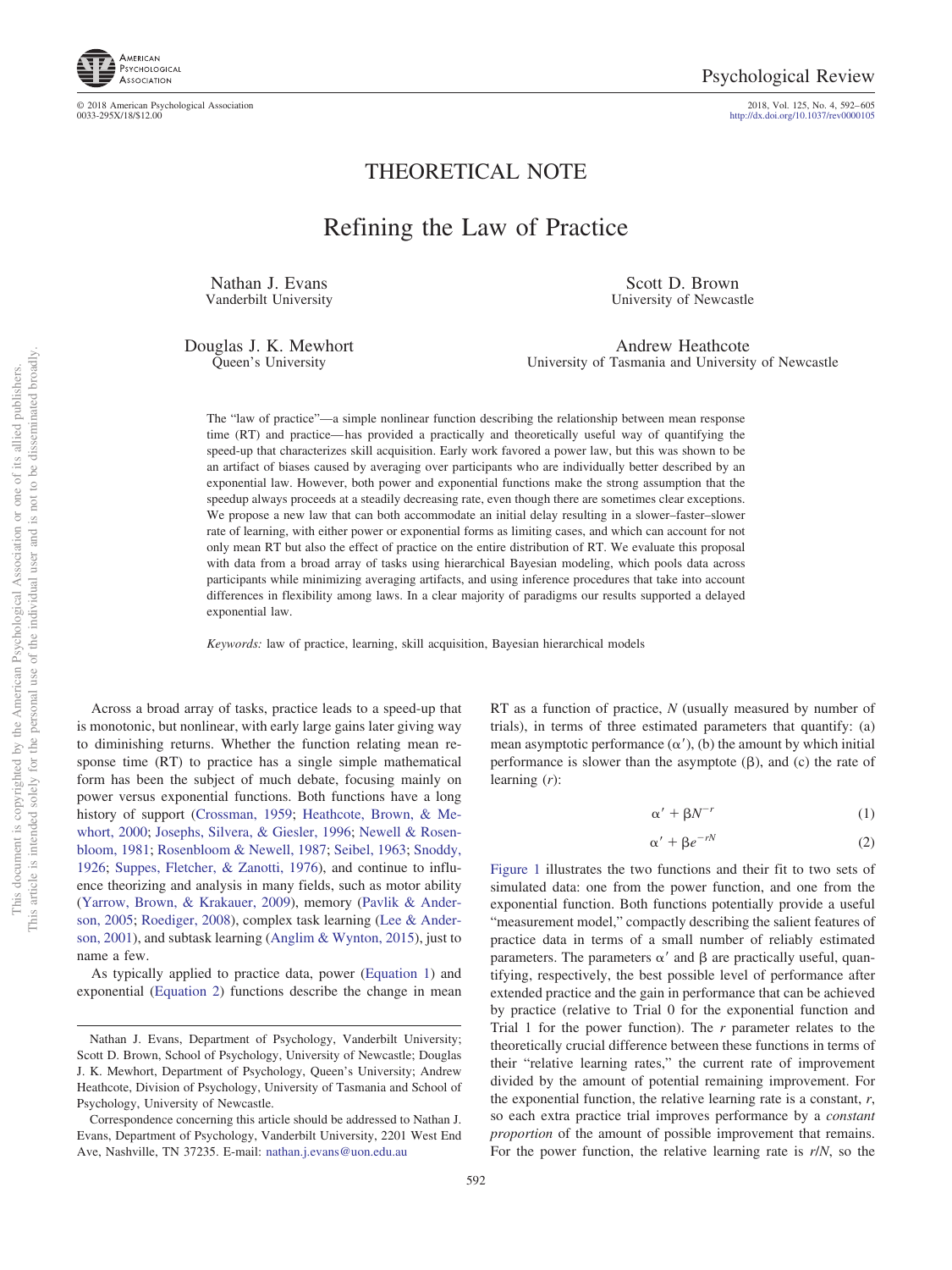

http://dx.doi.org[/10.1037/rev0000105](http://dx.doi.org/10.1037/rev0000105)

## THEORETICAL NOTE

# Refining the Law of Practice

Nathan J. Evans Vanderbilt University

Scott D. Brown University of Newcastle

Douglas J. K. Mewhort Queen's University

Andrew Heathcote University of Tasmania and University of Newcastle

The "law of practice"—a simple nonlinear function describing the relationship between mean response time (RT) and practice— has provided a practically and theoretically useful way of quantifying the speed-up that characterizes skill acquisition. Early work favored a power law, but this was shown to be an artifact of biases caused by averaging over participants who are individually better described by an exponential law. However, both power and exponential functions make the strong assumption that the speedup always proceeds at a steadily decreasing rate, even though there are sometimes clear exceptions. We propose a new law that can both accommodate an initial delay resulting in a slower–faster–slower rate of learning, with either power or exponential forms as limiting cases, and which can account for not only mean RT but also the effect of practice on the entire distribution of RT. We evaluate this proposal with data from a broad array of tasks using hierarchical Bayesian modeling, which pools data across participants while minimizing averaging artifacts, and using inference procedures that take into account differences in flexibility among laws. In a clear majority of paradigms our results supported a delayed exponential law.

*Keywords:* law of practice, learning, skill acquisition, Bayesian hierarchical models

Across a broad array of tasks, practice leads to a speed-up that is monotonic, but nonlinear, with early large gains later giving way to diminishing returns. Whether the function relating mean response time (RT) to practice has a single simple mathematical form has been the subject of much debate, focusing mainly on power versus exponential functions. Both functions have a long history of support [\(Crossman, 1959;](#page-12-0) [Heathcote, Brown, & Me](#page-12-1)[whort, 2000;](#page-12-1) [Josephs, Silvera, & Giesler, 1996;](#page-12-2) [Newell & Rosen](#page-12-3)[bloom, 1981;](#page-12-3) [Rosenbloom & Newell, 1987;](#page-12-4) [Seibel, 1963;](#page-12-5) [Snoddy,](#page-12-6) [1926;](#page-12-6) [Suppes, Fletcher, & Zanotti, 1976\)](#page-13-0), and continue to influence theorizing and analysis in many fields, such as motor ability [\(Yarrow, Brown, & Krakauer, 2009\)](#page-13-1), memory [\(Pavlik & Ander](#page-12-7)[son, 2005;](#page-12-7) [Roediger, 2008\)](#page-12-8), complex task learning [\(Lee & Ander](#page-12-9)[son, 2001\)](#page-12-9), and subtask learning [\(Anglim & Wynton, 2015\)](#page-11-0), just to name a few.

As typically applied to practice data, power [\(Equation 1\)](#page-0-0) and exponential [\(Equation 2\)](#page-0-1) functions describe the change in mean

RT as a function of practice, *N* (usually measured by number of trials), in terms of three estimated parameters that quantify: (a) mean asymptotic performance  $(\alpha')$ , (b) the amount by which initial performance is slower than the asymptote  $(\beta)$ , and  $(\mathbf{c})$  the rate of learning (*r*):

$$
\alpha' + \beta N^{-r} \tag{1}
$$

$$
\alpha' + \beta e^{-rN} \tag{2}
$$

<span id="page-0-1"></span><span id="page-0-0"></span>[Figure 1](#page-1-0) illustrates the two functions and their fit to two sets of simulated data: one from the power function, and one from the exponential function. Both functions potentially provide a useful "measurement model," compactly describing the salient features of practice data in terms of a small number of reliably estimated parameters. The parameters  $\alpha'$  and  $\beta$  are practically useful, quantifying, respectively, the best possible level of performance after extended practice and the gain in performance that can be achieved by practice (relative to Trial 0 for the exponential function and Trial 1 for the power function). The *r* parameter relates to the theoretically crucial difference between these functions in terms of their "relative learning rates," the current rate of improvement divided by the amount of potential remaining improvement. For the exponential function, the relative learning rate is a constant, *r*, so each extra practice trial improves performance by a *constant proportion* of the amount of possible improvement that remains. For the power function, the relative learning rate is *r*/*N*, so the

Nathan J. Evans, Department of Psychology, Vanderbilt University; Scott D. Brown, School of Psychology, University of Newcastle; Douglas J. K. Mewhort, Department of Psychology, Queen's University; Andrew Heathcote, Division of Psychology, University of Tasmania and School of Psychology, University of Newcastle.

Correspondence concerning this article should be addressed to Nathan J. Evans, Department of Psychology, Vanderbilt University, 2201 West End Ave, Nashville, TN 37235. E-mail: [nathan.j.evans@uon.edu.au](mailto:nathan.j.evans@uon.edu.au)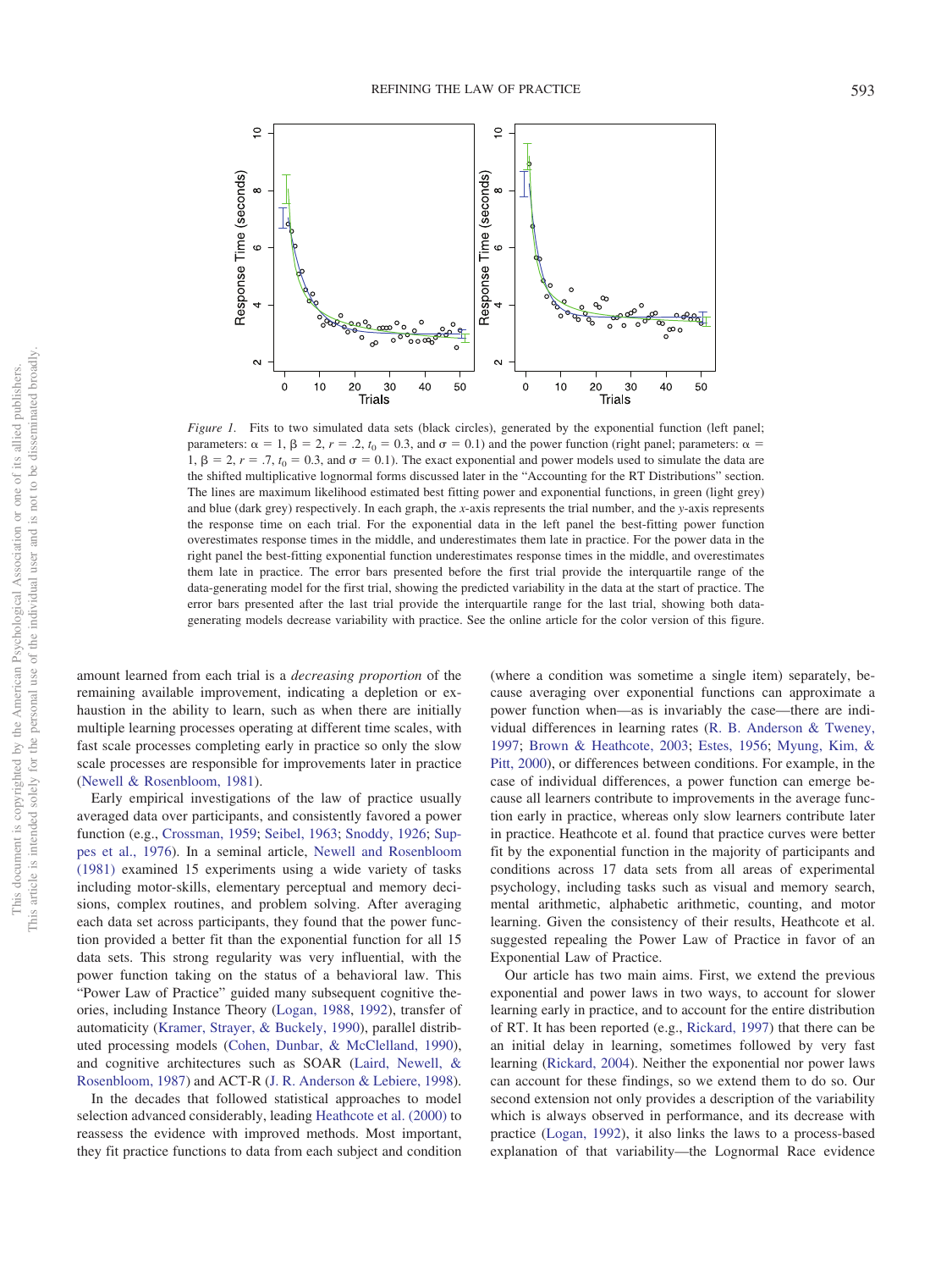

<span id="page-1-0"></span>*Figure 1.* Fits to two simulated data sets (black circles), generated by the exponential function (left panel; parameters:  $\alpha = 1$ ,  $\beta = 2$ ,  $r = .2$ ,  $t_0 = 0.3$ , and  $\sigma = 0.1$ ) and the power function (right panel; parameters:  $\alpha =$ 1,  $\beta = 2$ ,  $r = .7$ ,  $t_0 = 0.3$ , and  $\sigma = 0.1$ ). The exact exponential and power models used to simulate the data are the shifted multiplicative lognormal forms discussed later in the "Accounting for the RT Distributions" section. The lines are maximum likelihood estimated best fitting power and exponential functions, in green (light grey) and blue (dark grey) respectively. In each graph, the *x*-axis represents the trial number, and the *y*-axis represents the response time on each trial. For the exponential data in the left panel the best-fitting power function overestimates response times in the middle, and underestimates them late in practice. For the power data in the right panel the best-fitting exponential function underestimates response times in the middle, and overestimates them late in practice. The error bars presented before the first trial provide the interquartile range of the data-generating model for the first trial, showing the predicted variability in the data at the start of practice. The error bars presented after the last trial provide the interquartile range for the last trial, showing both datagenerating models decrease variability with practice. See the online article for the color version of this figure.

amount learned from each trial is a *decreasing proportion* of the remaining available improvement, indicating a depletion or exhaustion in the ability to learn, such as when there are initially multiple learning processes operating at different time scales, with fast scale processes completing early in practice so only the slow scale processes are responsible for improvements later in practice [\(Newell & Rosenbloom, 1981\)](#page-12-3).

Early empirical investigations of the law of practice usually averaged data over participants, and consistently favored a power function (e.g., [Crossman, 1959;](#page-12-0) [Seibel, 1963;](#page-12-5) [Snoddy, 1926;](#page-12-6) [Sup](#page-13-0)[pes et al., 1976\)](#page-13-0). In a seminal article, [Newell and Rosenbloom](#page-12-3) [\(1981\)](#page-12-3) examined 15 experiments using a wide variety of tasks including motor-skills, elementary perceptual and memory decisions, complex routines, and problem solving. After averaging each data set across participants, they found that the power function provided a better fit than the exponential function for all 15 data sets. This strong regularity was very influential, with the power function taking on the status of a behavioral law. This "Power Law of Practice" guided many subsequent cognitive theories, including Instance Theory [\(Logan, 1988,](#page-12-10) [1992\)](#page-12-11), transfer of automaticity [\(Kramer, Strayer, & Buckely, 1990\)](#page-12-12), parallel distributed processing models [\(Cohen, Dunbar, & McClelland, 1990\)](#page-12-13), and cognitive architectures such as SOAR [\(Laird, Newell, &](#page-12-14) [Rosenbloom, 1987\)](#page-12-14) and ACT-R [\(J. R. Anderson & Lebiere, 1998\)](#page-11-1).

In the decades that followed statistical approaches to model selection advanced considerably, leading [Heathcote et al. \(2000\)](#page-12-1) to reassess the evidence with improved methods. Most important, they fit practice functions to data from each subject and condition

(where a condition was sometime a single item) separately, because averaging over exponential functions can approximate a power function when—as is invariably the case—there are individual differences in learning rates [\(R. B. Anderson & Tweney,](#page-11-2) [1997;](#page-11-2) [Brown & Heathcote, 2003;](#page-11-3) [Estes, 1956;](#page-12-15) [Myung, Kim, &](#page-12-16) [Pitt, 2000\)](#page-12-16), or differences between conditions. For example, in the case of individual differences, a power function can emerge because all learners contribute to improvements in the average function early in practice, whereas only slow learners contribute later in practice. Heathcote et al. found that practice curves were better fit by the exponential function in the majority of participants and conditions across 17 data sets from all areas of experimental psychology, including tasks such as visual and memory search, mental arithmetic, alphabetic arithmetic, counting, and motor learning. Given the consistency of their results, Heathcote et al. suggested repealing the Power Law of Practice in favor of an Exponential Law of Practice.

Our article has two main aims. First, we extend the previous exponential and power laws in two ways, to account for slower learning early in practice, and to account for the entire distribution of RT. It has been reported (e.g., [Rickard, 1997\)](#page-12-17) that there can be an initial delay in learning, sometimes followed by very fast learning [\(Rickard, 2004\)](#page-12-18). Neither the exponential nor power laws can account for these findings, so we extend them to do so. Our second extension not only provides a description of the variability which is always observed in performance, and its decrease with practice [\(Logan, 1992\)](#page-12-11), it also links the laws to a process-based explanation of that variability—the Lognormal Race evidence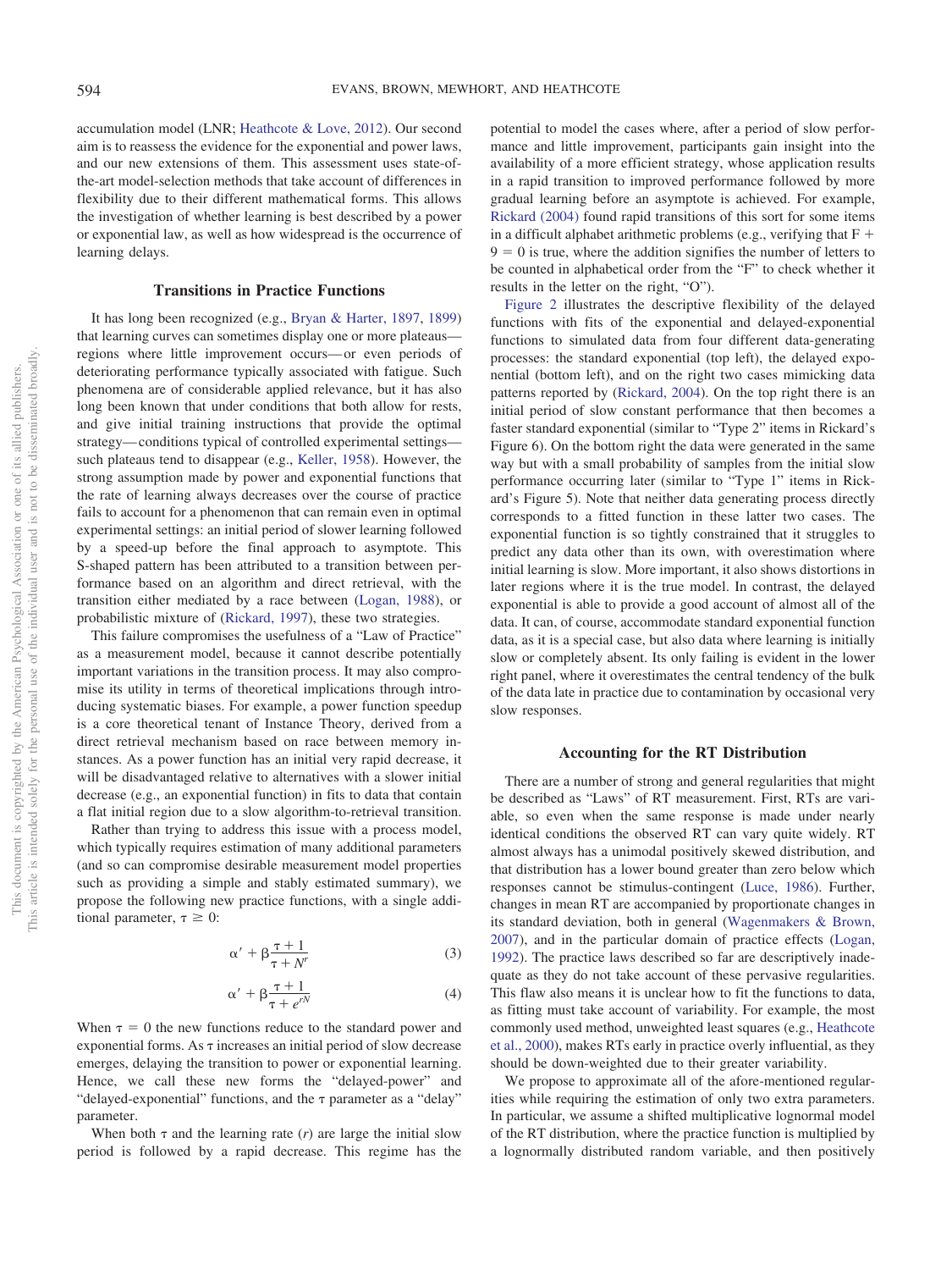accumulation model (LNR; [Heathcote & Love, 2012\)](#page-12-19). Our second aim is to reassess the evidence for the exponential and power laws, and our new extensions of them. This assessment uses state-ofthe-art model-selection methods that take account of differences in flexibility due to their different mathematical forms. This allows the investigation of whether learning is best described by a power or exponential law, as well as how widespread is the occurrence of learning delays.

### **Transitions in Practice Functions**

It has long been recognized (e.g., [Bryan & Harter, 1897,](#page-11-4) [1899\)](#page-11-5) that learning curves can sometimes display one or more plateaus regions where little improvement occurs— or even periods of deteriorating performance typically associated with fatigue. Such phenomena are of considerable applied relevance, but it has also long been known that under conditions that both allow for rests, and give initial training instructions that provide the optimal strategy— conditions typical of controlled experimental settings such plateaus tend to disappear (e.g., [Keller, 1958\)](#page-12-20). However, the strong assumption made by power and exponential functions that the rate of learning always decreases over the course of practice fails to account for a phenomenon that can remain even in optimal experimental settings: an initial period of slower learning followed by a speed-up before the final approach to asymptote. This S-shaped pattern has been attributed to a transition between performance based on an algorithm and direct retrieval, with the transition either mediated by a race between [\(Logan, 1988\)](#page-12-10), or probabilistic mixture of [\(Rickard, 1997\)](#page-12-17), these two strategies.

This failure compromises the usefulness of a "Law of Practice" as a measurement model, because it cannot describe potentially important variations in the transition process. It may also compromise its utility in terms of theoretical implications through introducing systematic biases. For example, a power function speedup is a core theoretical tenant of Instance Theory, derived from a direct retrieval mechanism based on race between memory instances. As a power function has an initial very rapid decrease, it will be disadvantaged relative to alternatives with a slower initial decrease (e.g., an exponential function) in fits to data that contain a flat initial region due to a slow algorithm-to-retrieval transition.

Rather than trying to address this issue with a process model, which typically requires estimation of many additional parameters (and so can compromise desirable measurement model properties such as providing a simple and stably estimated summary), we propose the following new practice functions, with a single additional parameter,  $\tau \geq 0$ :

$$
\alpha' + \beta \frac{\tau + 1}{\tau + N'} \tag{3}
$$

$$
\alpha' + \beta \frac{\tau + 1}{\tau + e^{rN}} \tag{4}
$$

<span id="page-2-1"></span><span id="page-2-0"></span>When  $\tau = 0$  the new functions reduce to the standard power and exponential forms. As  $\tau$  increases an initial period of slow decrease emerges, delaying the transition to power or exponential learning. Hence, we call these new forms the "delayed-power" and "delayed-exponential" functions, and the  $\tau$  parameter as a "delay" parameter.

When both  $\tau$  and the learning rate (*r*) are large the initial slow period is followed by a rapid decrease. This regime has the potential to model the cases where, after a period of slow performance and little improvement, participants gain insight into the availability of a more efficient strategy, whose application results in a rapid transition to improved performance followed by more gradual learning before an asymptote is achieved. For example, [Rickard \(2004\)](#page-12-18) found rapid transitions of this sort for some items in a difficult alphabet arithmetic problems (e.g., verifying that  $F +$  $9 = 0$  is true, where the addition signifies the number of letters to be counted in alphabetical order from the "F" to check whether it results in the letter on the right, "O").

[Figure 2](#page-3-0) illustrates the descriptive flexibility of the delayed functions with fits of the exponential and delayed-exponential functions to simulated data from four different data-generating processes: the standard exponential (top left), the delayed exponential (bottom left), and on the right two cases mimicking data patterns reported by [\(Rickard, 2004\)](#page-12-18). On the top right there is an initial period of slow constant performance that then becomes a faster standard exponential (similar to "Type 2" items in Rickard's Figure 6). On the bottom right the data were generated in the same way but with a small probability of samples from the initial slow performance occurring later (similar to "Type 1" items in Rickard's Figure 5). Note that neither data generating process directly corresponds to a fitted function in these latter two cases. The exponential function is so tightly constrained that it struggles to predict any data other than its own, with overestimation where initial learning is slow. More important, it also shows distortions in later regions where it is the true model. In contrast, the delayed exponential is able to provide a good account of almost all of the data. It can, of course, accommodate standard exponential function data, as it is a special case, but also data where learning is initially slow or completely absent. Its only failing is evident in the lower right panel, where it overestimates the central tendency of the bulk of the data late in practice due to contamination by occasional very slow responses.

#### **Accounting for the RT Distribution**

There are a number of strong and general regularities that might be described as "Laws" of RT measurement. First, RTs are variable, so even when the same response is made under nearly identical conditions the observed RT can vary quite widely. RT almost always has a unimodal positively skewed distribution, and that distribution has a lower bound greater than zero below which responses cannot be stimulus-contingent [\(Luce, 1986\)](#page-12-21). Further, changes in mean RT are accompanied by proportionate changes in its standard deviation, both in general [\(Wagenmakers & Brown,](#page-13-2) [2007\)](#page-13-2), and in the particular domain of practice effects [\(Logan,](#page-12-11) [1992\)](#page-12-11). The practice laws described so far are descriptively inadequate as they do not take account of these pervasive regularities. This flaw also means it is unclear how to fit the functions to data, as fitting must take account of variability. For example, the most commonly used method, unweighted least squares (e.g., [Heathcote](#page-12-1) [et al., 2000\)](#page-12-1), makes RTs early in practice overly influential, as they should be down-weighted due to their greater variability.

We propose to approximate all of the afore-mentioned regularities while requiring the estimation of only two extra parameters. In particular, we assume a shifted multiplicative lognormal model of the RT distribution, where the practice function is multiplied by a lognormally distributed random variable, and then positively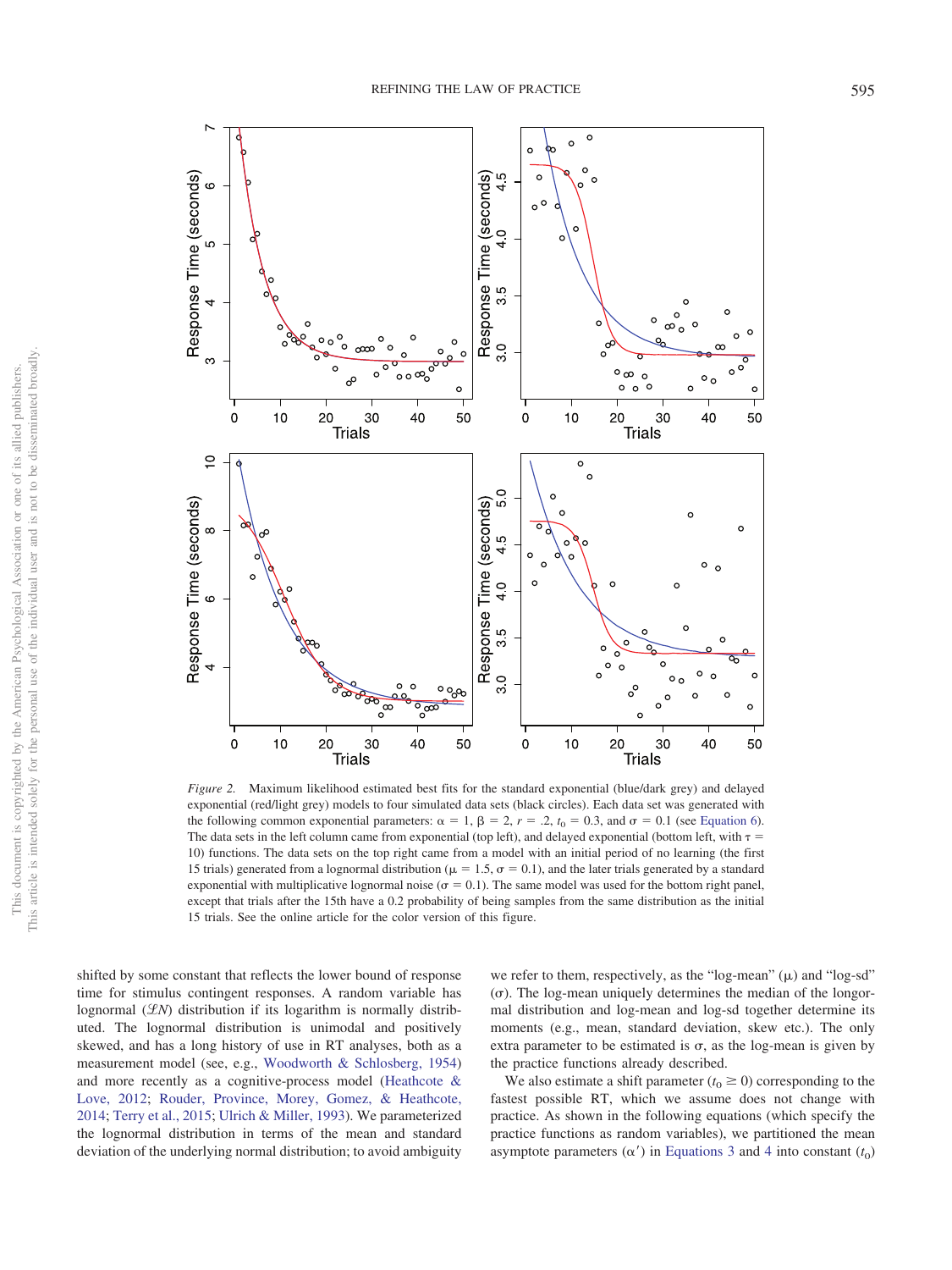

<span id="page-3-0"></span>*Figure 2.* Maximum likelihood estimated best fits for the standard exponential (blue/dark grey) and delayed exponential (red/light grey) models to four simulated data sets (black circles). Each data set was generated with the following common exponential parameters:  $\alpha = 1$ ,  $\beta = 2$ ,  $r = .2$ ,  $t_0 = 0.3$ , and  $\sigma = 0.1$  (see [Equation 6\)](#page-4-0). The data sets in the left column came from exponential (top left), and delayed exponential (bottom left, with  $\tau$  = 10) functions. The data sets on the top right came from a model with an initial period of no learning (the first 15 trials) generated from a lognormal distribution ( $\mu = 1.5$ ,  $\sigma = 0.1$ ), and the later trials generated by a standard exponential with multiplicative lognormal noise ( $\sigma = 0.1$ ). The same model was used for the bottom right panel, except that trials after the 15th have a 0.2 probability of being samples from the same distribution as the initial 15 trials. See the online article for the color version of this figure.

shifted by some constant that reflects the lower bound of response time for stimulus contingent responses. A random variable has lognormal (LN) distribution if its logarithm is normally distributed. The lognormal distribution is unimodal and positively skewed, and has a long history of use in RT analyses, both as a measurement model (see, e.g., [Woodworth & Schlosberg, 1954\)](#page-13-3) and more recently as a cognitive-process model [\(Heathcote &](#page-12-19) [Love, 2012;](#page-12-19) [Rouder, Province, Morey, Gomez, & Heathcote,](#page-12-22) [2014;](#page-12-22) [Terry et al., 2015;](#page-13-4) [Ulrich & Miller, 1993\)](#page-13-5). We parameterized the lognormal distribution in terms of the mean and standard deviation of the underlying normal distribution; to avoid ambiguity

we refer to them, respectively, as the "log-mean"  $(\mu)$  and "log-sd"  $(\sigma)$ . The log-mean uniquely determines the median of the longormal distribution and log-mean and log-sd together determine its moments (e.g., mean, standard deviation, skew etc.). The only extra parameter to be estimated is  $\sigma$ , as the log-mean is given by the practice functions already described.

We also estimate a shift parameter  $(t_0 \ge 0)$  corresponding to the fastest possible RT, which we assume does not change with practice. As shown in the following equations (which specify the practice functions as random variables), we partitioned the mean asymptote parameters  $(\alpha')$  in [Equations 3](#page-2-0) and [4](#page-2-1) into constant  $(t_0)$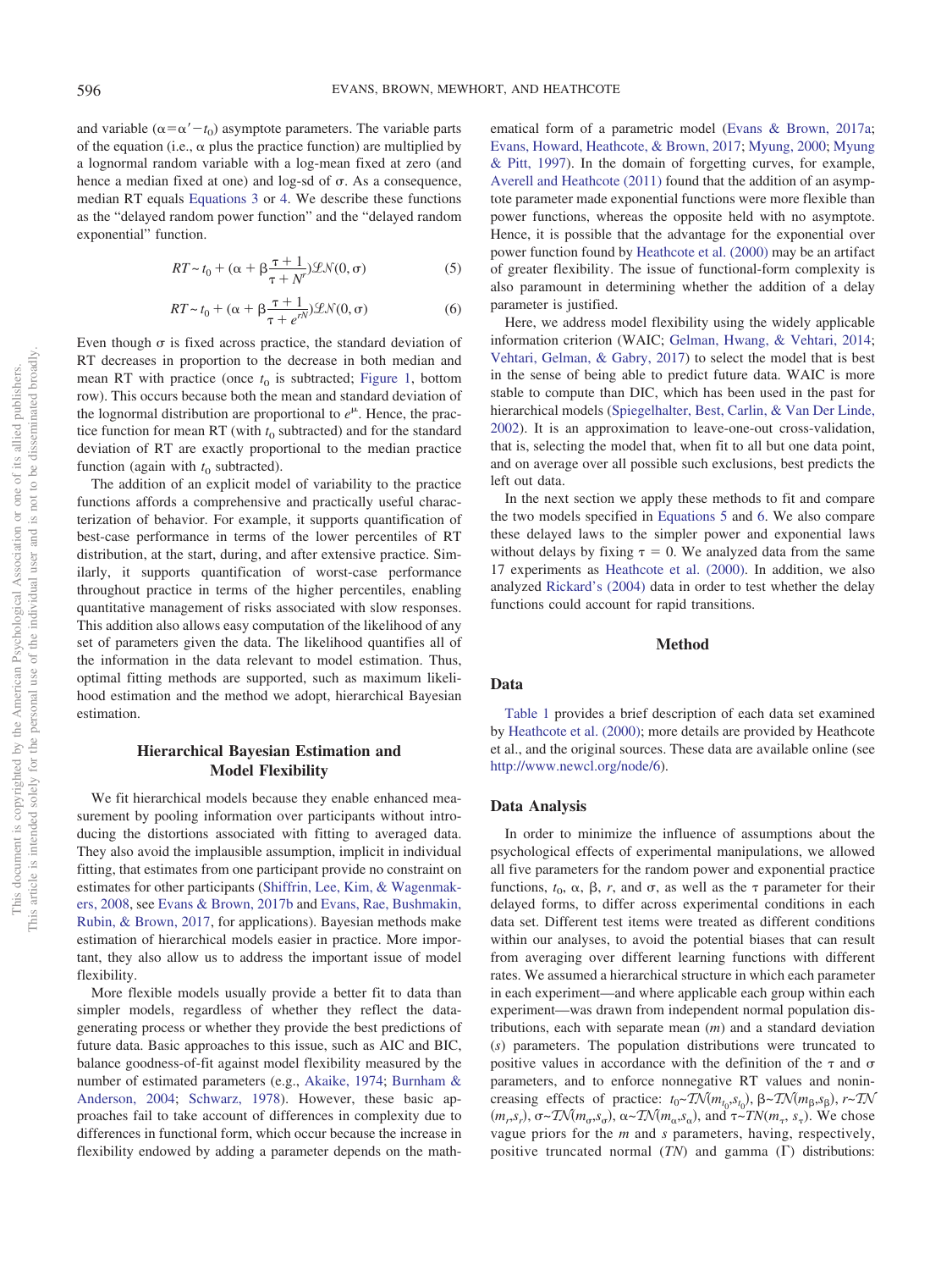and variable  $(\alpha = \alpha' - t_0)$  asymptote parameters. The variable parts of the equation (i.e.,  $\alpha$  plus the practice function) are multiplied by a lognormal random variable with a log-mean fixed at zero (and hence a median fixed at one) and  $log-sd$  of  $\sigma$ . As a consequence, median RT equals [Equations 3](#page-2-0) or [4.](#page-2-1) We describe these functions as the "delayed random power function" and the "delayed random exponential" function.

$$
RT \sim t_0 + (\alpha + \beta \frac{\tau + 1}{\tau + N'})\mathcal{L}\mathcal{N}(0, \sigma) \tag{5}
$$

$$
RT \sim t_0 + (\alpha + \beta \frac{\tau + 1}{\tau + e^{rN}}) \mathcal{L} \mathcal{N}(0, \sigma) \tag{6}
$$

<span id="page-4-1"></span><span id="page-4-0"></span>Even though  $\sigma$  is fixed across practice, the standard deviation of RT decreases in proportion to the decrease in both median and mean RT with practice (once  $t_0$  is subtracted; [Figure 1,](#page-1-0) bottom row). This occurs because both the mean and standard deviation of the lognormal distribution are proportional to  $e^{\mu}$ . Hence, the practice function for mean RT (with  $t_0$  subtracted) and for the standard deviation of RT are exactly proportional to the median practice function (again with  $t_0$  subtracted).

The addition of an explicit model of variability to the practice functions affords a comprehensive and practically useful characterization of behavior. For example, it supports quantification of best-case performance in terms of the lower percentiles of RT distribution, at the start, during, and after extensive practice. Similarly, it supports quantification of worst-case performance throughout practice in terms of the higher percentiles, enabling quantitative management of risks associated with slow responses. This addition also allows easy computation of the likelihood of any set of parameters given the data. The likelihood quantifies all of the information in the data relevant to model estimation. Thus, optimal fitting methods are supported, such as maximum likelihood estimation and the method we adopt, hierarchical Bayesian estimation.

## **Hierarchical Bayesian Estimation and Model Flexibility**

We fit hierarchical models because they enable enhanced measurement by pooling information over participants without introducing the distortions associated with fitting to averaged data. They also avoid the implausible assumption, implicit in individual fitting, that estimates from one participant provide no constraint on estimates for other participants [\(Shiffrin, Lee, Kim, & Wagenmak](#page-12-23)[ers, 2008,](#page-12-23) see [Evans & Brown, 2017b](#page-12-24) and [Evans, Rae, Bushmakin,](#page-12-25) [Rubin, & Brown, 2017,](#page-12-25) for applications). Bayesian methods make estimation of hierarchical models easier in practice. More important, they also allow us to address the important issue of model flexibility.

More flexible models usually provide a better fit to data than simpler models, regardless of whether they reflect the datagenerating process or whether they provide the best predictions of future data. Basic approaches to this issue, such as AIC and BIC, balance goodness-of-fit against model flexibility measured by the number of estimated parameters (e.g., [Akaike, 1974;](#page-11-6) [Burnham &](#page-11-7) [Anderson, 2004;](#page-11-7) [Schwarz, 1978\)](#page-12-26). However, these basic approaches fail to take account of differences in complexity due to differences in functional form, which occur because the increase in flexibility endowed by adding a parameter depends on the mathematical form of a parametric model [\(Evans & Brown, 2017a;](#page-12-27) [Evans, Howard, Heathcote, & Brown, 2017;](#page-12-28) [Myung, 2000;](#page-12-29) [Myung](#page-12-30) [& Pitt, 1997\)](#page-12-30). In the domain of forgetting curves, for example, [Averell and Heathcote \(2011\)](#page-11-8) found that the addition of an asymptote parameter made exponential functions were more flexible than power functions, whereas the opposite held with no asymptote. Hence, it is possible that the advantage for the exponential over power function found by [Heathcote et al. \(2000\)](#page-12-1) may be an artifact of greater flexibility. The issue of functional-form complexity is also paramount in determining whether the addition of a delay parameter is justified.

Here, we address model flexibility using the widely applicable information criterion (WAIC; [Gelman, Hwang, & Vehtari, 2014;](#page-12-31) [Vehtari, Gelman, & Gabry, 2017\)](#page-13-6) to select the model that is best in the sense of being able to predict future data. WAIC is more stable to compute than DIC, which has been used in the past for hierarchical models [\(Spiegelhalter, Best, Carlin, & Van Der Linde,](#page-12-32) [2002\)](#page-12-32). It is an approximation to leave-one-out cross-validation, that is, selecting the model that, when fit to all but one data point, and on average over all possible such exclusions, best predicts the left out data.

In the next section we apply these methods to fit and compare the two models specified in [Equations 5](#page-4-1) and [6.](#page-4-0) We also compare these delayed laws to the simpler power and exponential laws without delays by fixing  $\tau = 0$ . We analyzed data from the same 17 experiments as [Heathcote et al. \(2000\).](#page-12-1) In addition, we also analyzed [Rickard's \(2004\)](#page-12-18) data in order to test whether the delay functions could account for rapid transitions.

## **Method**

#### **Data**

[Table 1](#page-5-0) provides a brief description of each data set examined by [Heathcote et al. \(2000\);](#page-12-1) more details are provided by Heathcote et al., and the original sources. These data are available online (see [http://www.newcl.org/node/6\)](http://www.newcl.org/node/6).

#### **Data Analysis**

In order to minimize the influence of assumptions about the psychological effects of experimental manipulations, we allowed all five parameters for the random power and exponential practice functions,  $t_0$ ,  $\alpha$ ,  $\beta$ ,  $r$ , and  $\sigma$ , as well as the  $\tau$  parameter for their delayed forms, to differ across experimental conditions in each data set. Different test items were treated as different conditions within our analyses, to avoid the potential biases that can result from averaging over different learning functions with different rates. We assumed a hierarchical structure in which each parameter in each experiment—and where applicable each group within each experiment—was drawn from independent normal population distributions, each with separate mean (*m*) and a standard deviation (*s*) parameters. The population distributions were truncated to positive values in accordance with the definition of the  $\tau$  and  $\sigma$ parameters, and to enforce nonnegative RT values and nonincreasing effects of practice:  $t_0 \sim \text{TN}(m_{t_0}, s_{t_0})$ ,  $\beta \sim \text{TN}(m_{\beta}, s_{\beta})$ ,  $r \sim \text{TN}$  $(m_r, s_r)$ ,  $\sigma \sim \mathcal{TN}(m_\sigma, s_\sigma)$ ,  $\alpha \sim \mathcal{TN}(m_\alpha, s_\alpha)$ , and  $\tau \sim \mathcal{TN}(m_\tau, s_\tau)$ . We chose vague priors for the *m* and *s* parameters, having, respectively, positive truncated normal  $(TN)$  and gamma  $(\Gamma)$  distributions: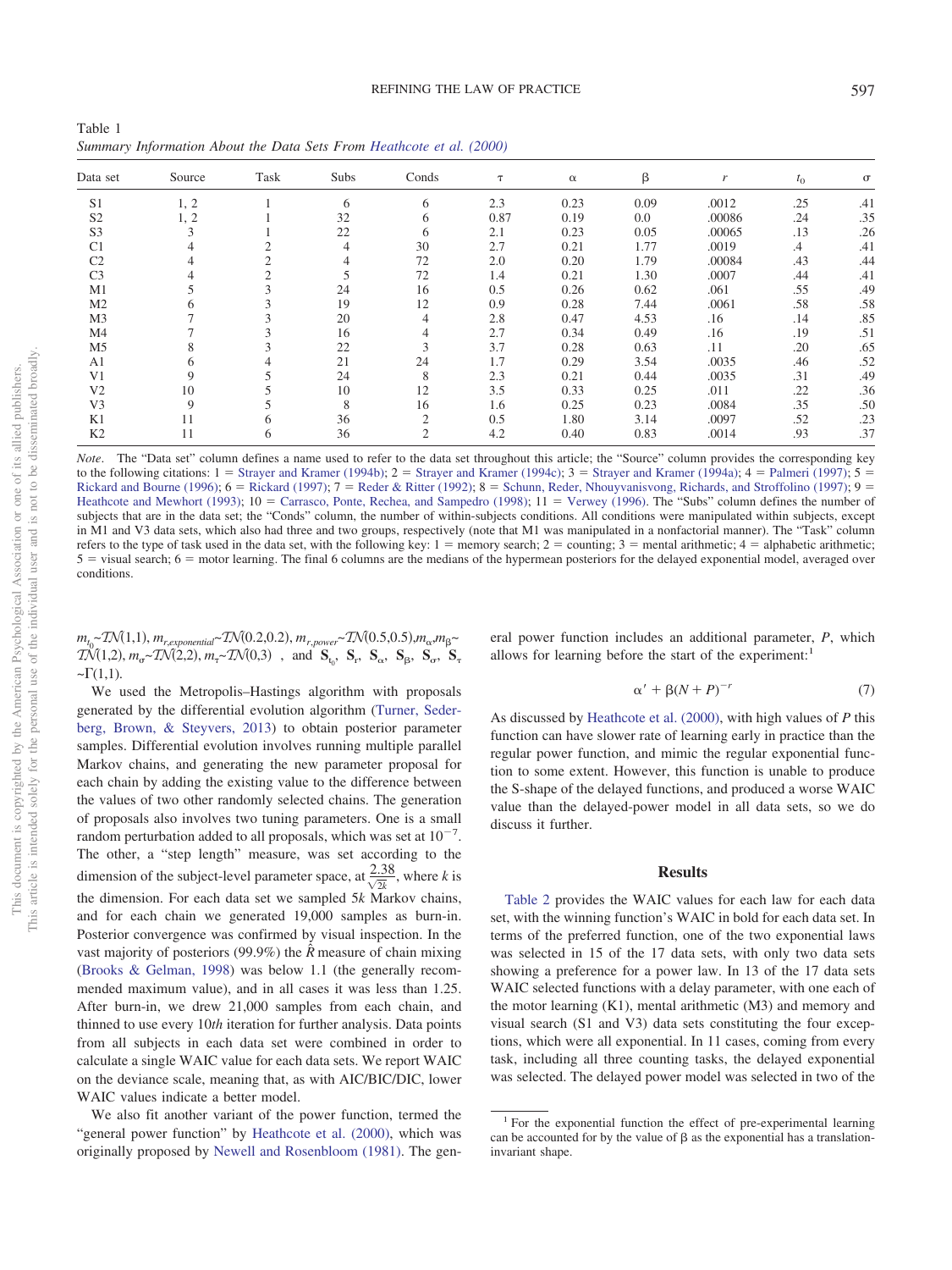<span id="page-5-0"></span>Table 1 *Summary Information About the Data Sets From [Heathcote et al. \(2000\)](#page-12-1)*

| Data set       | Source | Task | Subs | Conds          | $\tau$ | $\alpha$ | β    | $\mathbf{r}$ | $t_{0}$ | $\sigma$ |
|----------------|--------|------|------|----------------|--------|----------|------|--------------|---------|----------|
| S <sub>1</sub> | 1, 2   |      | 6    | 6              | 2.3    | 0.23     | 0.09 | .0012        | .25     | .41      |
| S <sub>2</sub> | 1, 2   |      | 32   | 6              | 0.87   | 0.19     | 0.0  | .00086       | .24     | .35      |
| S <sub>3</sub> | 3      |      | 22   | 6              | 2.1    | 0.23     | 0.05 | .00065       | .13     | .26      |
| C <sub>1</sub> |        |      | 4    | 30             | 2.7    | 0.21     | 1.77 | .0019        | $.4\,$  | .41      |
| C <sub>2</sub> | 4      |      | 4    | 72             | 2.0    | 0.20     | 1.79 | .00084       | .43     | .44      |
| C <sub>3</sub> |        | 2    |      | 72             | 1.4    | 0.21     | 1.30 | .0007        | .44     | .41      |
| M <sub>1</sub> | 5      | 5    | 24   | 16             | 0.5    | 0.26     | 0.62 | .061         | .55     | .49      |
| M <sub>2</sub> | 6      |      | 19   | 12             | 0.9    | 0.28     | 7.44 | .0061        | .58     | .58      |
| M3             |        |      | 20   | 4              | 2.8    | 0.47     | 4.53 | .16          | .14     | .85      |
| M4             |        |      | 16   | 4              | 2.7    | 0.34     | 0.49 | .16          | .19     | .51      |
| M <sub>5</sub> | 8      |      | 22   | 3              | 3.7    | 0.28     | 0.63 | .11          | .20     | .65      |
| A <sub>1</sub> | 6      |      | 21   | 24             | 1.7    | 0.29     | 3.54 | .0035        | .46     | .52      |
| V1             | 9      |      | 24   | 8              | 2.3    | 0.21     | 0.44 | .0035        | .31     | .49      |
| V <sub>2</sub> | 10     |      | 10   | 12             | 3.5    | 0.33     | 0.25 | .011         | .22     | .36      |
| V <sub>3</sub> | 9      |      | 8    | 16             | 1.6    | 0.25     | 0.23 | .0084        | .35     | .50      |
| K1             | 11     | h.   | 36   | $\overline{2}$ | 0.5    | 1.80     | 3.14 | .0097        | .52     | .23      |
| K <sub>2</sub> | 11     | 6    | 36   | $\overline{2}$ | 4.2    | 0.40     | 0.83 | .0014        | .93     | .37      |

*Note*. The "Data set" column defines a name used to refer to the data set throughout this article; the "Source" column provides the corresponding key to the following citations:  $1 =$  [Strayer and Kramer \(1994b\);](#page-12-33)  $2 =$  [Strayer and Kramer \(1994c\);](#page-13-8)  $3 =$  [Strayer and Kramer \(1994a\);](#page-12-34)  $4 =$  [Palmeri \(1997\);](#page-12-35)  $5 =$ [Rickard and Bourne \(1996\);](#page-12-36)  $6 =$  [Rickard \(1997\);](#page-12-17)  $7 =$  [Reder & Ritter \(1992\);](#page-12-37)  $8 =$  [Schunn, Reder, Nhouyvanisvong, Richards, and Stroffolino \(1997\);](#page-12-38)  $9 =$ [Heathcote and Mewhort \(1993\);](#page-12-39) 10 = [Carrasco, Ponte, Rechea, and Sampedro \(1998\);](#page-11-10) 11 = [Verwey \(1996\).](#page-13-9) The "Subs" column defines the number of subjects that are in the data set; the "Conds" column, the number of within-subjects conditions. All conditions were manipulated within subjects, except in M1 and V3 data sets, which also had three and two groups, respectively (note that M1 was manipulated in a nonfactorial manner). The "Task" column refers to the type of task used in the data set, with the following key:  $1 =$  memory search;  $2 =$  counting;  $3 =$  mental arithmetic;  $4 =$  alphabetic arithmetic;  $5$  = visual search;  $6$  = motor learning. The final 6 columns are the medians of the hypermean posteriors for the delayed exponential model, averaged over conditions.

 $m_{t_0}$  (1,1),  $m_{r,exponential}$  (0.2,0.2),  $m_{r,power}$  (0.5,0.5), $m_{\alpha}$ , $m_{\beta}$  $TN(1,2), m_{\sigma} \sim TN(2,2), m_{\tau} \sim TN(0,3)$ , and  $S_{t_0}$ ,  $S_r$ ,  $S_{\alpha}$ ,  $S_{\beta}$ ,  $S_{\sigma}$ ,  $S_{\tau}$  $-\Gamma(1,1)$ .

We used the Metropolis–Hastings algorithm with proposals generated by the differential evolution algorithm [\(Turner, Seder](#page-13-7)[berg, Brown, & Steyvers, 2013\)](#page-13-7) to obtain posterior parameter samples. Differential evolution involves running multiple parallel Markov chains, and generating the new parameter proposal for each chain by adding the existing value to the difference between the values of two other randomly selected chains. The generation of proposals also involves two tuning parameters. One is a small random perturbation added to all proposals, which was set at  $10^{-7}$ . The other, a "step length" measure, was set according to the dimension of the subject-level parameter space, at  $\frac{2.38}{\sqrt{2k}}$ , where *k* is the dimension. For each data set we sampled 5*k* Markov chains, and for each chain we generated 19,000 samples as burn-in. Posterior convergence was confirmed by visual inspection. In the vast majority of posteriors (99.9%) the  $\hat{R}$  measure of chain mixing [\(Brooks & Gelman, 1998\)](#page-11-9) was below 1.1 (the generally recommended maximum value), and in all cases it was less than 1.25. After burn-in, we drew 21,000 samples from each chain, and thinned to use every 10*th* iteration for further analysis. Data points from all subjects in each data set were combined in order to calculate a single WAIC value for each data sets. We report WAIC on the deviance scale, meaning that, as with AIC/BIC/DIC, lower WAIC values indicate a better model.

We also fit another variant of the power function, termed the "general power function" by [Heathcote et al. \(2000\),](#page-12-1) which was originally proposed by [Newell and Rosenbloom \(1981\).](#page-12-3) The general power function includes an additional parameter, *P*, which allows for learning before the start of the experiment:

$$
\alpha' + \beta (N + P)^{-r} \tag{7}
$$

As discussed by [Heathcote et al. \(2000\),](#page-12-1) with high values of *P* this function can have slower rate of learning early in practice than the regular power function, and mimic the regular exponential function to some extent. However, this function is unable to produce the S-shape of the delayed functions, and produced a worse WAIC value than the delayed-power model in all data sets, so we do discuss it further.

#### **Results**

[Table 2](#page-6-0) provides the WAIC values for each law for each data set, with the winning function's WAIC in bold for each data set. In terms of the preferred function, one of the two exponential laws was selected in 15 of the 17 data sets, with only two data sets showing a preference for a power law. In 13 of the 17 data sets WAIC selected functions with a delay parameter, with one each of the motor learning (K1), mental arithmetic (M3) and memory and visual search (S1 and V3) data sets constituting the four exceptions, which were all exponential. In 11 cases, coming from every task, including all three counting tasks, the delayed exponential was selected. The delayed power model was selected in two of the

<sup>&</sup>lt;sup>1</sup> For the exponential function the effect of pre-experimental learning can be accounted for by the value of  $\beta$  as the exponential has a translationinvariant shape.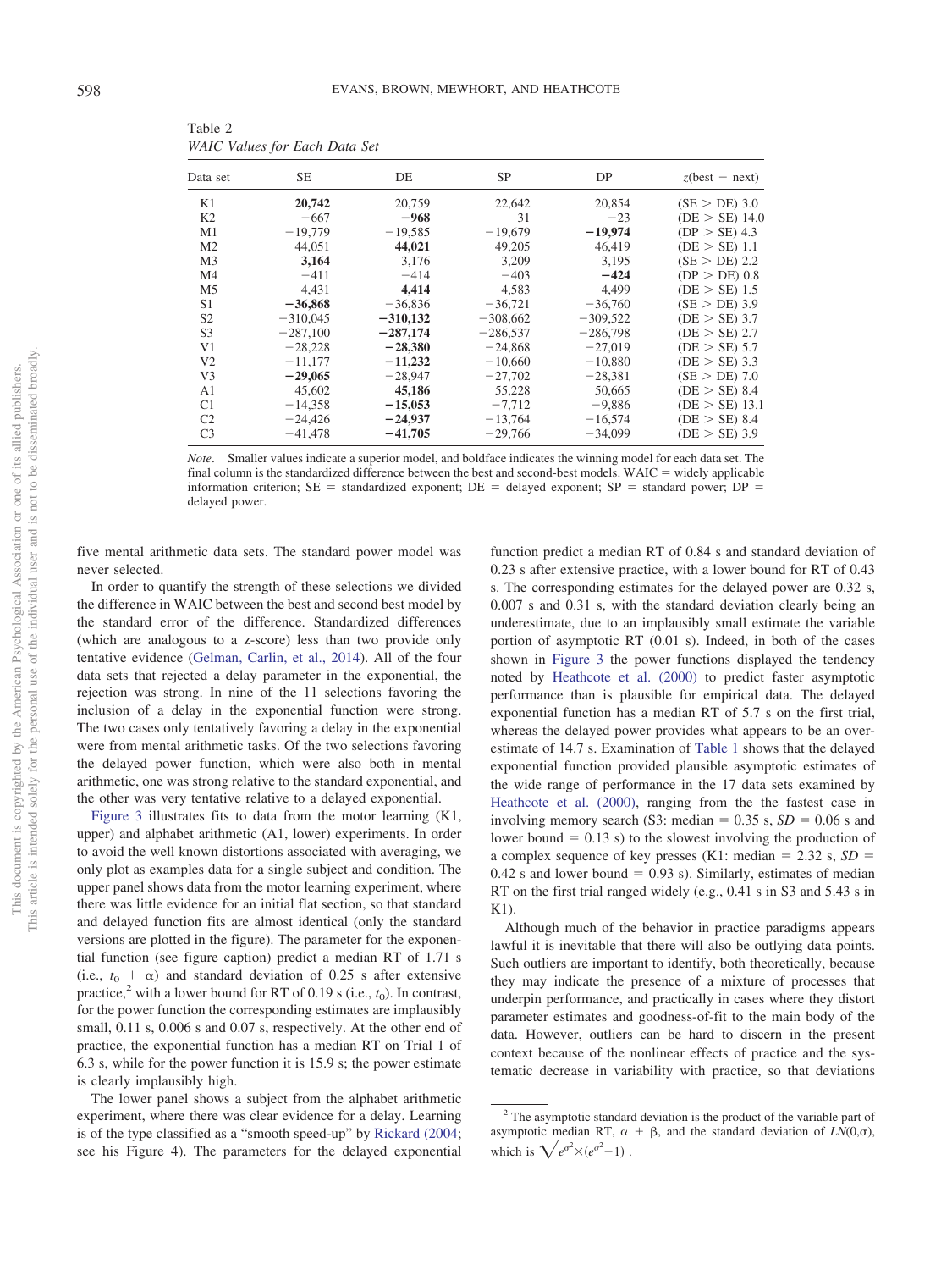| Data set       | <b>SE</b>  | DE         | <b>SP</b>  | DP         | $z$ (best – next) |
|----------------|------------|------------|------------|------------|-------------------|
| K1             | 20,742     | 20,759     | 22,642     | 20,854     | (SE > DE) 3.0     |
| K <sub>2</sub> | $-667$     | $-968$     | 31         | $-23$      | $(DE > SE)$ 14.0  |
| M1             | $-19,779$  | $-19,585$  | $-19,679$  | $-19,974$  | (DP > SE) 4.3     |
| M <sub>2</sub> | 44,051     | 44,021     | 49,205     | 46,419     | $(DE > SE)$ 1.1   |
| M <sub>3</sub> | 3.164      | 3.176      | 3.209      | 3.195      | (SE > DE) 2.2     |
| M <sub>4</sub> | $-411$     | $-414$     | $-403$     | $-424$     | $(DP > DE)$ 0.8   |
| M <sub>5</sub> | 4.431      | 4,414      | 4.583      | 4.499      | (DE > SE) 1.5     |
| S1             | $-36,868$  | $-36,836$  | $-36,721$  | $-36,760$  | $(SE > DE)$ 3.9   |
| S <sub>2</sub> | $-310,045$ | $-310,132$ | $-308,662$ | $-309.522$ | $(DE > SE)$ 3.7   |
| S <sub>3</sub> | $-287,100$ | $-287,174$ | $-286,537$ | $-286,798$ | (DE > SE) 2.7     |
| V1             | $-28.228$  | $-28,380$  | $-24.868$  | $-27.019$  | (DE > SE) 5.7     |
| V <sub>2</sub> | $-11,177$  | $-11,232$  | $-10,660$  | $-10,880$  | $(DE > SE)$ 3.3   |
| V <sub>3</sub> | $-29,065$  | $-28.947$  | $-27,702$  | $-28.381$  | (SE > DE) 7.0     |
| A <sub>1</sub> | 45,602     | 45,186     | 55,228     | 50.665     | (DE > SE) 8.4     |
| C <sub>1</sub> | $-14,358$  | $-15,053$  | $-7.712$   | $-9,886$   | $(DE > SE)$ 13.1  |
| C <sub>2</sub> | $-24.426$  | $-24,937$  | $-13,764$  | $-16,574$  | (DE > SE) 8.4     |
| C <sub>3</sub> | $-41,478$  | $-41,705$  | $-29,766$  | $-34,099$  | $(DE > SE)$ 3.9   |

<span id="page-6-0"></span>Table 2 *WAIC Values for Each Data Set*

*Note*. Smaller values indicate a superior model, and boldface indicates the winning model for each data set. The final column is the standardized difference between the best and second-best models. WAIC  $=$  widely applicable information criterion;  $SE$  = standardized exponent;  $DE$  = delayed exponent;  $SP$  = standard power;  $DP$  = delayed power.

five mental arithmetic data sets. The standard power model was never selected.

In order to quantify the strength of these selections we divided the difference in WAIC between the best and second best model by the standard error of the difference. Standardized differences (which are analogous to a z-score) less than two provide only tentative evidence [\(Gelman, Carlin, et al., 2014\)](#page-12-40). All of the four data sets that rejected a delay parameter in the exponential, the rejection was strong. In nine of the 11 selections favoring the inclusion of a delay in the exponential function were strong. The two cases only tentatively favoring a delay in the exponential were from mental arithmetic tasks. Of the two selections favoring the delayed power function, which were also both in mental arithmetic, one was strong relative to the standard exponential, and the other was very tentative relative to a delayed exponential.

[Figure 3](#page-7-0) illustrates fits to data from the motor learning (K1, upper) and alphabet arithmetic (A1, lower) experiments. In order to avoid the well known distortions associated with averaging, we only plot as examples data for a single subject and condition. The upper panel shows data from the motor learning experiment, where there was little evidence for an initial flat section, so that standard and delayed function fits are almost identical (only the standard versions are plotted in the figure). The parameter for the exponential function (see figure caption) predict a median RT of 1.71 s (i.e.,  $t_0 + \alpha$ ) and standard deviation of 0.25 s after extensive practice,<sup>2</sup> with a lower bound for RT of 0.19 s (i.e.,  $t_0$ ). In contrast, for the power function the corresponding estimates are implausibly small,  $0.11$  s,  $0.006$  s and  $0.07$  s, respectively. At the other end of practice, the exponential function has a median RT on Trial 1 of 6.3 s, while for the power function it is 15.9 s; the power estimate is clearly implausibly high.

The lower panel shows a subject from the alphabet arithmetic experiment, where there was clear evidence for a delay. Learning is of the type classified as a "smooth speed-up" by [Rickard \(2004;](#page-12-18) see his Figure 4). The parameters for the delayed exponential

function predict a median RT of 0.84 s and standard deviation of 0.23 s after extensive practice, with a lower bound for RT of 0.43 s. The corresponding estimates for the delayed power are 0.32 s, 0.007 s and 0.31 s, with the standard deviation clearly being an underestimate, due to an implausibly small estimate the variable portion of asymptotic RT (0.01 s). Indeed, in both of the cases shown in [Figure 3](#page-7-0) the power functions displayed the tendency noted by [Heathcote et al. \(2000\)](#page-12-1) to predict faster asymptotic performance than is plausible for empirical data. The delayed exponential function has a median RT of 5.7 s on the first trial, whereas the delayed power provides what appears to be an overestimate of 14.7 s. Examination of [Table 1](#page-5-0) shows that the delayed exponential function provided plausible asymptotic estimates of the wide range of performance in the 17 data sets examined by [Heathcote et al. \(2000\),](#page-12-1) ranging from the the fastest case in involving memory search (S3: median  $= 0.35$  s,  $SD = 0.06$  s and lower bound  $= 0.13$  s) to the slowest involving the production of a complex sequence of key presses (K1: median  $= 2.32$  s,  $SD =$  $0.42$  s and lower bound = 0.93 s). Similarly, estimates of median RT on the first trial ranged widely (e.g., 0.41 s in S3 and 5.43 s in K1).

Although much of the behavior in practice paradigms appears lawful it is inevitable that there will also be outlying data points. Such outliers are important to identify, both theoretically, because they may indicate the presence of a mixture of processes that underpin performance, and practically in cases where they distort parameter estimates and goodness-of-fit to the main body of the data. However, outliers can be hard to discern in the present context because of the nonlinear effects of practice and the systematic decrease in variability with practice, so that deviations

<sup>&</sup>lt;sup>2</sup> The asymptotic standard deviation is the product of the variable part of asymptotic median RT,  $\alpha + \beta$ , and the standard deviation of *LN*(0, $\sigma$ ), which is  $\sqrt{e^{\sigma^2} \times (e^{\sigma^2} - 1)}$ .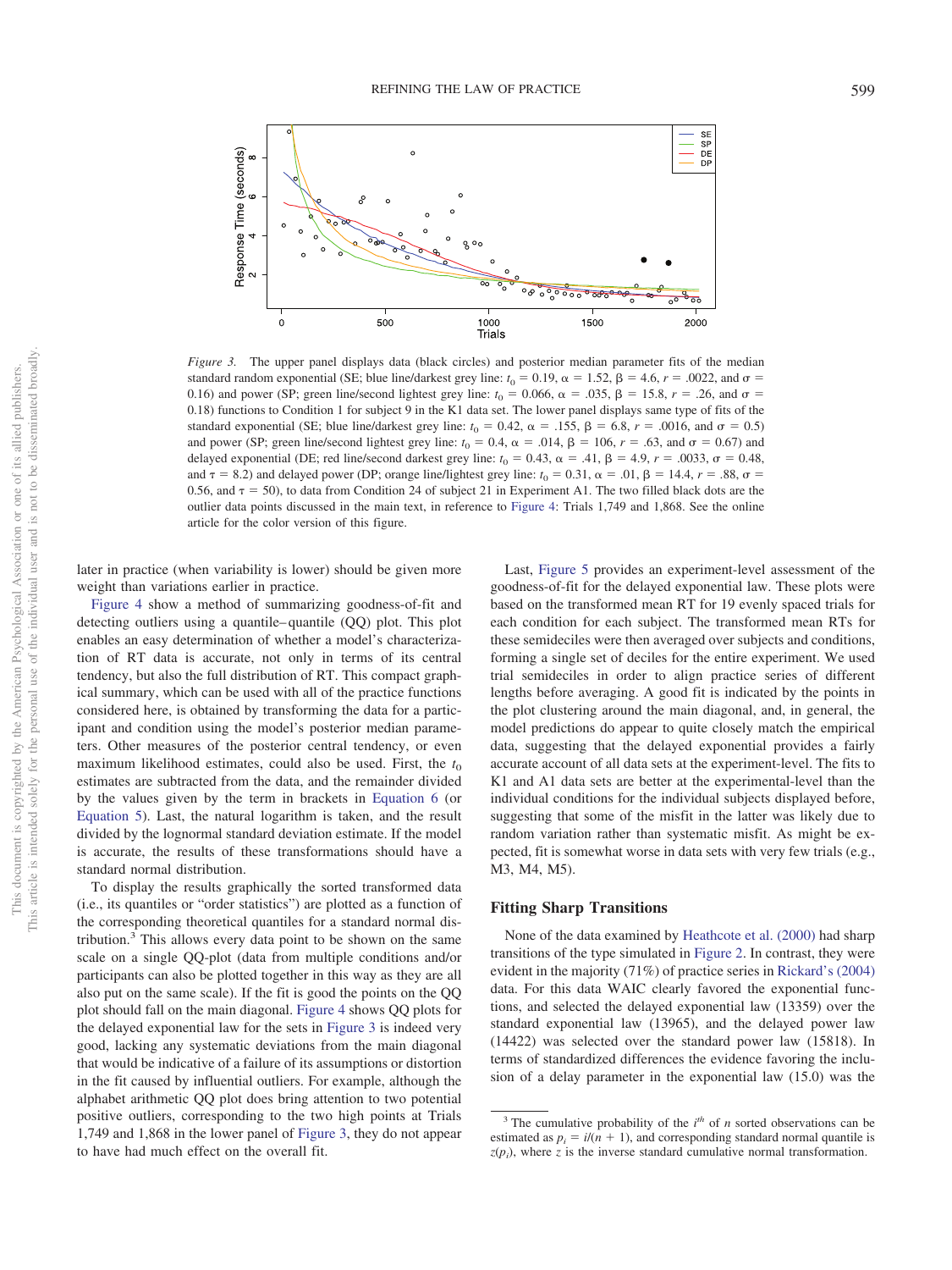

<span id="page-7-0"></span>*Figure 3.* The upper panel displays data (black circles) and posterior median parameter fits of the median standard random exponential (SE; blue line/darkest grey line:  $t_0 = 0.19$ ,  $\alpha = 1.52$ ,  $\beta = 4.6$ ,  $r = .0022$ , and  $\sigma =$ 0.16) and power (SP; green line/second lightest grey line:  $t_0 = 0.066$ ,  $\alpha = .035$ ,  $\beta = 15.8$ ,  $r = .26$ , and  $\sigma =$ 0.18) functions to Condition 1 for subject 9 in the K1 data set. The lower panel displays same type of fits of the standard exponential (SE; blue line/darkest grey line:  $t_0 = 0.42$ ,  $\alpha = .155$ ,  $\beta = 6.8$ ,  $r = .0016$ , and  $\sigma = 0.5$ ) and power (SP; green line/second lightest grey line:  $t_0 = 0.4$ ,  $\alpha = .014$ ,  $\beta = 106$ ,  $r = .63$ , and  $\sigma = 0.67$ ) and delayed exponential (DE; red line/second darkest grey line:  $t_0 = 0.43$ ,  $\alpha = .41$ ,  $\beta = 4.9$ ,  $r = .0033$ ,  $\sigma = 0.48$ , and  $\tau = 8.2$ ) and delayed power (DP; orange line/lightest grey line:  $t_0 = 0.31$ ,  $\alpha = .01$ ,  $\beta = 14.4$ ,  $r = .88$ ,  $\sigma =$ 0.56, and  $\tau = 50$ ), to data from Condition 24 of subject 21 in Experiment A1. The two filled black dots are the outlier data points discussed in the main text, in reference to [Figure 4:](#page-8-0) Trials 1,749 and 1,868. See the online article for the color version of this figure.

later in practice (when variability is lower) should be given more weight than variations earlier in practice.

[Figure 4](#page-8-0) show a method of summarizing goodness-of-fit and detecting outliers using a quantile– quantile (QQ) plot. This plot enables an easy determination of whether a model's characterization of RT data is accurate, not only in terms of its central tendency, but also the full distribution of RT. This compact graphical summary, which can be used with all of the practice functions considered here, is obtained by transforming the data for a participant and condition using the model's posterior median parameters. Other measures of the posterior central tendency, or even maximum likelihood estimates, could also be used. First, the  $t_0$ estimates are subtracted from the data, and the remainder divided by the values given by the term in brackets in [Equation 6](#page-4-0) (or [Equation 5\)](#page-4-1). Last, the natural logarithm is taken, and the result divided by the lognormal standard deviation estimate. If the model is accurate, the results of these transformations should have a standard normal distribution.

To display the results graphically the sorted transformed data (i.e., its quantiles or "order statistics") are plotted as a function of the corresponding theoretical quantiles for a standard normal distribution.3 This allows every data point to be shown on the same scale on a single QQ-plot (data from multiple conditions and/or participants can also be plotted together in this way as they are all also put on the same scale). If the fit is good the points on the QQ plot should fall on the main diagonal. [Figure 4](#page-8-0) shows QQ plots for the delayed exponential law for the sets in [Figure 3](#page-7-0) is indeed very good, lacking any systematic deviations from the main diagonal that would be indicative of a failure of its assumptions or distortion in the fit caused by influential outliers. For example, although the alphabet arithmetic QQ plot does bring attention to two potential positive outliers, corresponding to the two high points at Trials 1,749 and 1,868 in the lower panel of [Figure 3,](#page-7-0) they do not appear to have had much effect on the overall fit.

Last, [Figure 5](#page-9-0) provides an experiment-level assessment of the goodness-of-fit for the delayed exponential law. These plots were based on the transformed mean RT for 19 evenly spaced trials for each condition for each subject. The transformed mean RTs for these semideciles were then averaged over subjects and conditions, forming a single set of deciles for the entire experiment. We used trial semideciles in order to align practice series of different lengths before averaging. A good fit is indicated by the points in the plot clustering around the main diagonal, and, in general, the model predictions do appear to quite closely match the empirical data, suggesting that the delayed exponential provides a fairly accurate account of all data sets at the experiment-level. The fits to K1 and A1 data sets are better at the experimental-level than the individual conditions for the individual subjects displayed before, suggesting that some of the misfit in the latter was likely due to random variation rather than systematic misfit. As might be expected, fit is somewhat worse in data sets with very few trials (e.g., M3, M4, M5).

## **Fitting Sharp Transitions**

None of the data examined by [Heathcote et al. \(2000\)](#page-12-1) had sharp transitions of the type simulated in [Figure 2.](#page-3-0) In contrast, they were evident in the majority (71%) of practice series in [Rickard's \(2004\)](#page-12-18) data. For this data WAIC clearly favored the exponential functions, and selected the delayed exponential law (13359) over the standard exponential law (13965), and the delayed power law (14422) was selected over the standard power law (15818). In terms of standardized differences the evidence favoring the inclusion of a delay parameter in the exponential law (15.0) was the

<sup>&</sup>lt;sup>3</sup> The cumulative probability of the  $i<sup>th</sup>$  of *n* sorted observations can be estimated as  $p_i = i/(n + 1)$ , and corresponding standard normal quantile is  $z(p_i)$ , where *z* is the inverse standard cumulative normal transformation.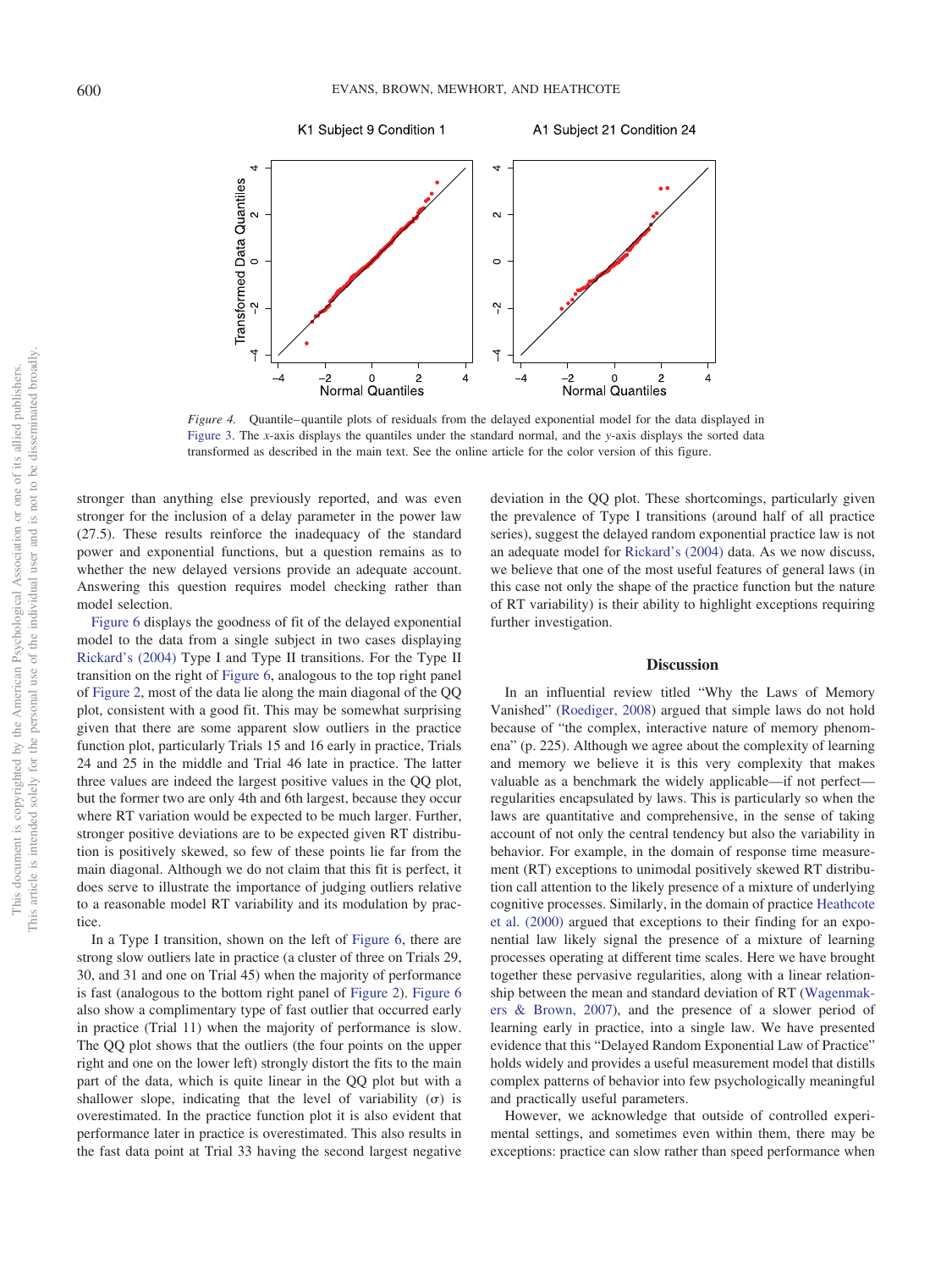

<span id="page-8-0"></span>*Figure 4.* Quantile–quantile plots of residuals from the delayed exponential model for the data displayed in [Figure 3.](#page-7-0) The *x*-axis displays the quantiles under the standard normal, and the *y*-axis displays the sorted data transformed as described in the main text. See the online article for the color version of this figure.

stronger than anything else previously reported, and was even stronger for the inclusion of a delay parameter in the power law (27.5). These results reinforce the inadequacy of the standard power and exponential functions, but a question remains as to whether the new delayed versions provide an adequate account. Answering this question requires model checking rather than model selection.

[Figure 6](#page-10-0) displays the goodness of fit of the delayed exponential model to the data from a single subject in two cases displaying [Rickard's \(2004\)](#page-12-18) Type I and Type II transitions. For the Type II transition on the right of [Figure 6,](#page-10-0) analogous to the top right panel of [Figure 2,](#page-3-0) most of the data lie along the main diagonal of the QQ plot, consistent with a good fit. This may be somewhat surprising given that there are some apparent slow outliers in the practice function plot, particularly Trials 15 and 16 early in practice, Trials 24 and 25 in the middle and Trial 46 late in practice. The latter three values are indeed the largest positive values in the QQ plot, but the former two are only 4th and 6th largest, because they occur where RT variation would be expected to be much larger. Further, stronger positive deviations are to be expected given RT distribution is positively skewed, so few of these points lie far from the main diagonal. Although we do not claim that this fit is perfect, it does serve to illustrate the importance of judging outliers relative to a reasonable model RT variability and its modulation by practice.

In a Type I transition, shown on the left of [Figure 6,](#page-10-0) there are strong slow outliers late in practice (a cluster of three on Trials 29, 30, and 31 and one on Trial 45) when the majority of performance is fast (analogous to the bottom right panel of [Figure 2\)](#page-3-0). [Figure 6](#page-10-0) also show a complimentary type of fast outlier that occurred early in practice (Trial 11) when the majority of performance is slow. The QQ plot shows that the outliers (the four points on the upper right and one on the lower left) strongly distort the fits to the main part of the data, which is quite linear in the QQ plot but with a shallower slope, indicating that the level of variability  $(\sigma)$  is overestimated. In the practice function plot it is also evident that performance later in practice is overestimated. This also results in the fast data point at Trial 33 having the second largest negative deviation in the QQ plot. These shortcomings, particularly given the prevalence of Type I transitions (around half of all practice series), suggest the delayed random exponential practice law is not an adequate model for [Rickard's \(2004\)](#page-12-18) data. As we now discuss, we believe that one of the most useful features of general laws (in this case not only the shape of the practice function but the nature of RT variability) is their ability to highlight exceptions requiring further investigation.

#### **Discussion**

In an influential review titled "Why the Laws of Memory Vanished" [\(Roediger, 2008\)](#page-12-8) argued that simple laws do not hold because of "the complex, interactive nature of memory phenomena" (p. 225). Although we agree about the complexity of learning and memory we believe it is this very complexity that makes valuable as a benchmark the widely applicable—if not perfect regularities encapsulated by laws. This is particularly so when the laws are quantitative and comprehensive, in the sense of taking account of not only the central tendency but also the variability in behavior. For example, in the domain of response time measurement (RT) exceptions to unimodal positively skewed RT distribution call attention to the likely presence of a mixture of underlying cognitive processes. Similarly, in the domain of practice [Heathcote](#page-12-1) [et al. \(2000\)](#page-12-1) argued that exceptions to their finding for an exponential law likely signal the presence of a mixture of learning processes operating at different time scales. Here we have brought together these pervasive regularities, along with a linear relationship between the mean and standard deviation of RT [\(Wagenmak](#page-13-2)[ers & Brown, 2007\)](#page-13-2), and the presence of a slower period of learning early in practice, into a single law. We have presented evidence that this "Delayed Random Exponential Law of Practice" holds widely and provides a useful measurement model that distills complex patterns of behavior into few psychologically meaningful and practically useful parameters.

However, we acknowledge that outside of controlled experimental settings, and sometimes even within them, there may be exceptions: practice can slow rather than speed performance when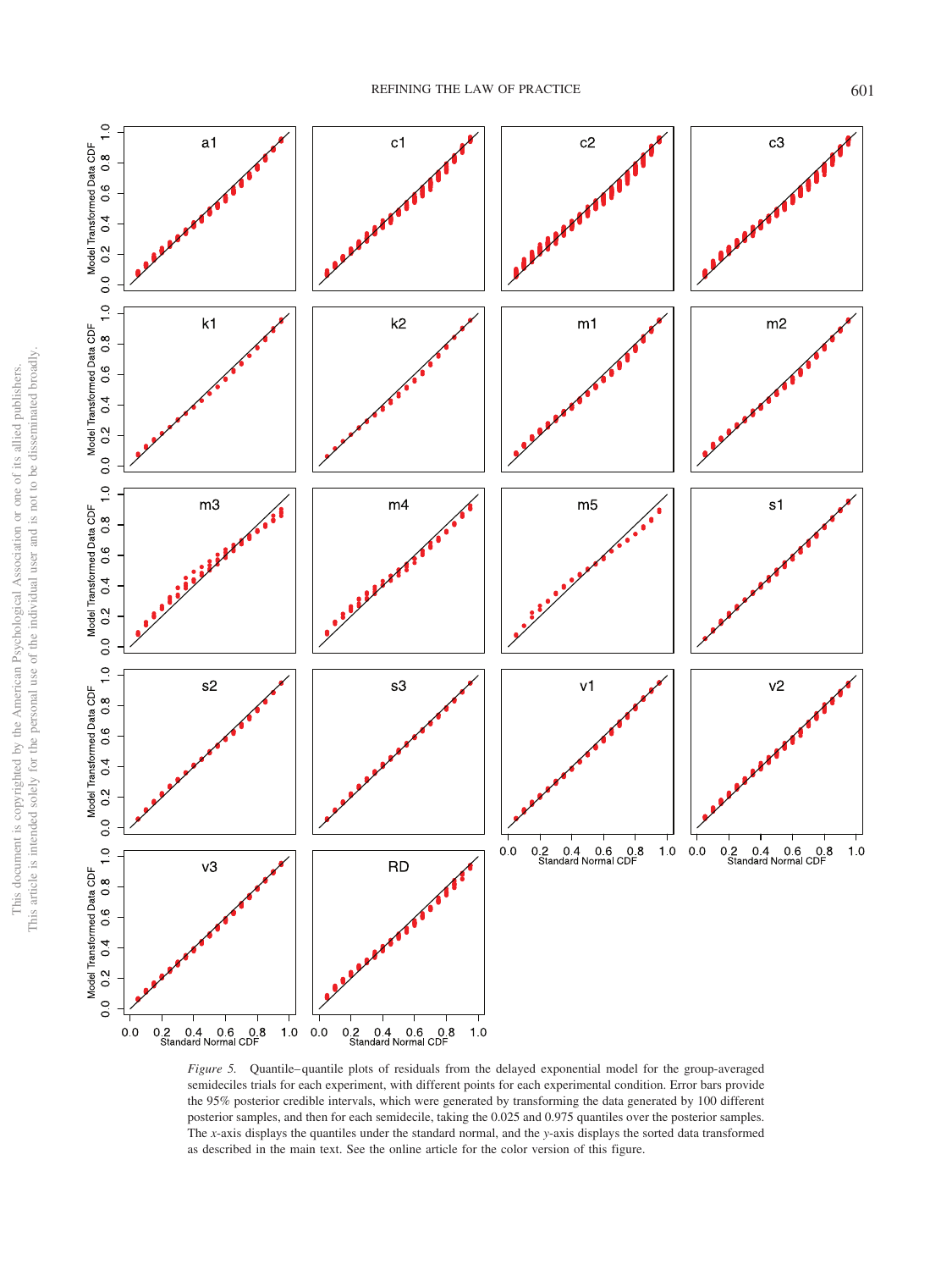

<span id="page-9-0"></span>*Figure 5.* Quantile–quantile plots of residuals from the delayed exponential model for the group-averaged semideciles trials for each experiment, with different points for each experimental condition. Error bars provide the 95% posterior credible intervals, which were generated by transforming the data generated by 100 different posterior samples, and then for each semidecile, taking the 0.025 and 0.975 quantiles over the posterior samples. The *x*-axis displays the quantiles under the standard normal, and the *y*-axis displays the sorted data transformed as described in the main text. See the online article for the color version of this figure.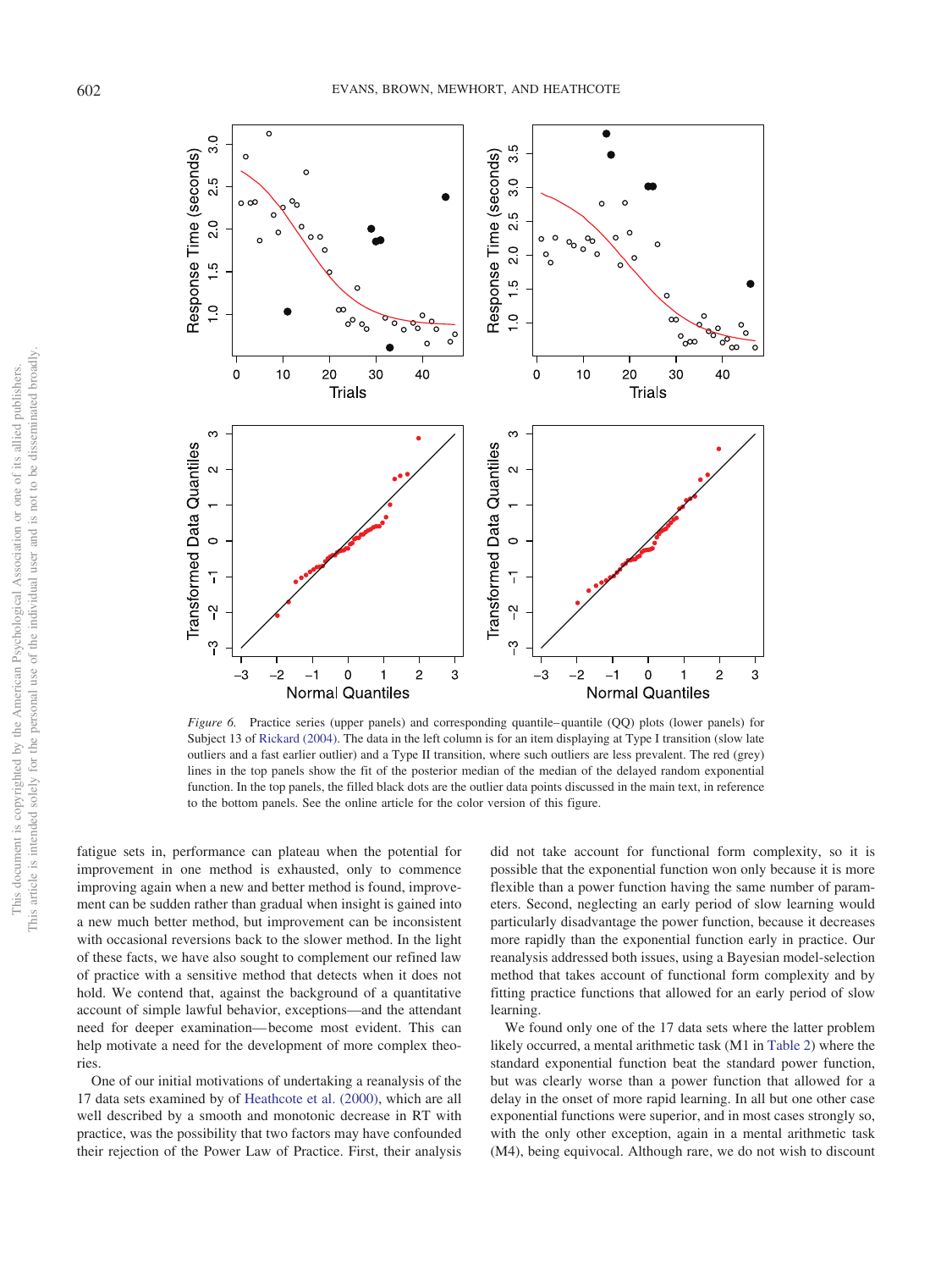

<span id="page-10-0"></span>*Figure 6.* Practice series (upper panels) and corresponding quantile–quantile (QQ) plots (lower panels) for Subject 13 of [Rickard \(2004\).](#page-12-18) The data in the left column is for an item displaying at Type I transition (slow late outliers and a fast earlier outlier) and a Type II transition, where such outliers are less prevalent. The red (grey) lines in the top panels show the fit of the posterior median of the median of the delayed random exponential function. In the top panels, the filled black dots are the outlier data points discussed in the main text, in reference to the bottom panels. See the online article for the color version of this figure.

fatigue sets in, performance can plateau when the potential for improvement in one method is exhausted, only to commence improving again when a new and better method is found, improvement can be sudden rather than gradual when insight is gained into a new much better method, but improvement can be inconsistent with occasional reversions back to the slower method. In the light of these facts, we have also sought to complement our refined law of practice with a sensitive method that detects when it does not hold. We contend that, against the background of a quantitative account of simple lawful behavior, exceptions—and the attendant need for deeper examination— become most evident. This can help motivate a need for the development of more complex theories.

One of our initial motivations of undertaking a reanalysis of the 17 data sets examined by of [Heathcote et al. \(2000\),](#page-12-1) which are all well described by a smooth and monotonic decrease in RT with practice, was the possibility that two factors may have confounded their rejection of the Power Law of Practice. First, their analysis did not take account for functional form complexity, so it is possible that the exponential function won only because it is more flexible than a power function having the same number of parameters. Second, neglecting an early period of slow learning would particularly disadvantage the power function, because it decreases more rapidly than the exponential function early in practice. Our reanalysis addressed both issues, using a Bayesian model-selection method that takes account of functional form complexity and by fitting practice functions that allowed for an early period of slow learning.

We found only one of the 17 data sets where the latter problem likely occurred, a mental arithmetic task (M1 in [Table 2\)](#page-6-0) where the standard exponential function beat the standard power function, but was clearly worse than a power function that allowed for a delay in the onset of more rapid learning. In all but one other case exponential functions were superior, and in most cases strongly so, with the only other exception, again in a mental arithmetic task (M4), being equivocal. Although rare, we do not wish to discount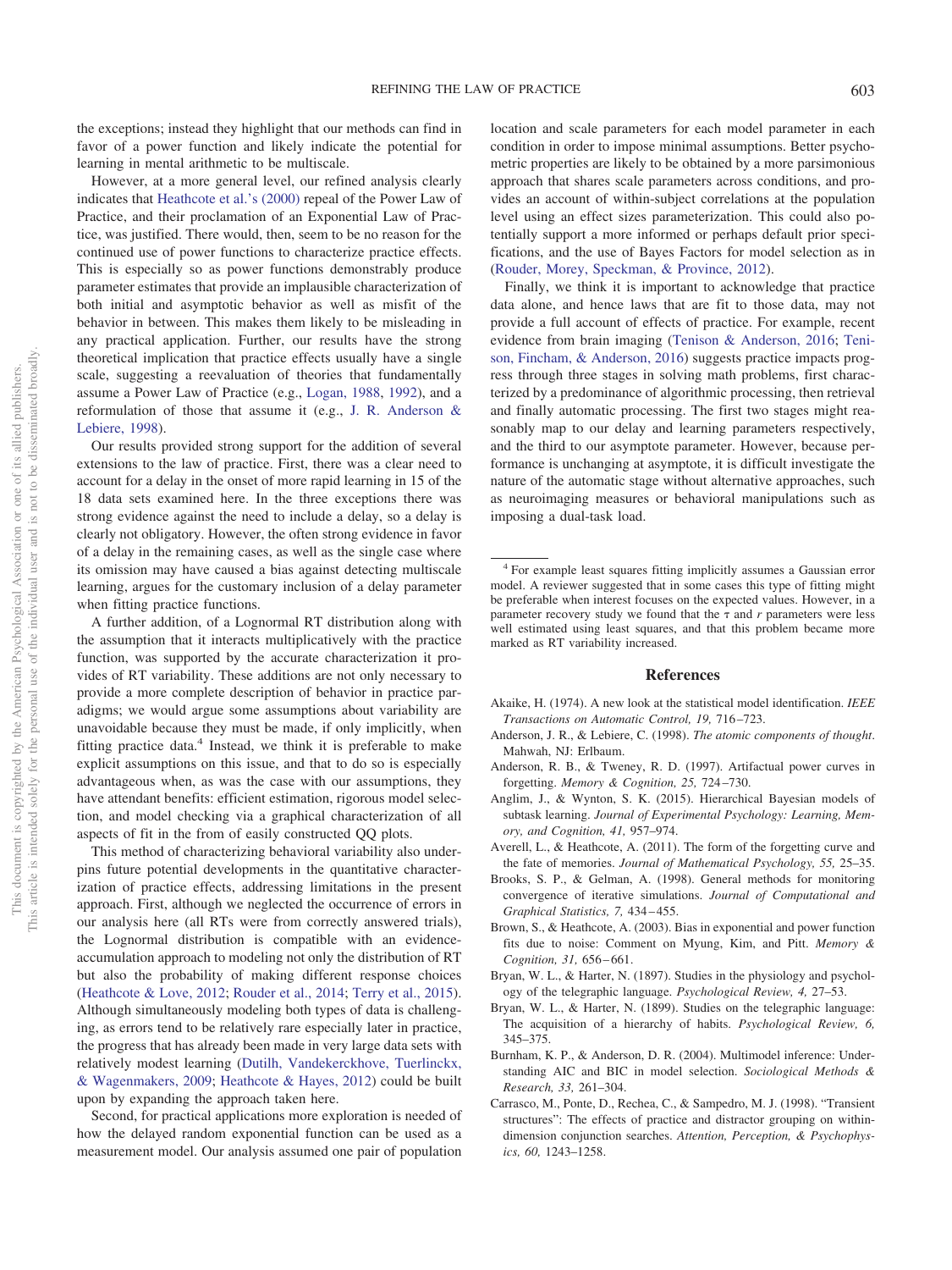the exceptions; instead they highlight that our methods can find in favor of a power function and likely indicate the potential for learning in mental arithmetic to be multiscale.

However, at a more general level, our refined analysis clearly indicates that [Heathcote et al.'s \(2000\)](#page-12-1) repeal of the Power Law of Practice, and their proclamation of an Exponential Law of Practice, was justified. There would, then, seem to be no reason for the continued use of power functions to characterize practice effects. This is especially so as power functions demonstrably produce parameter estimates that provide an implausible characterization of both initial and asymptotic behavior as well as misfit of the behavior in between. This makes them likely to be misleading in any practical application. Further, our results have the strong theoretical implication that practice effects usually have a single scale, suggesting a reevaluation of theories that fundamentally assume a Power Law of Practice (e.g., [Logan, 1988,](#page-12-10) [1992\)](#page-12-11), and a reformulation of those that assume it (e.g., [J. R. Anderson &](#page-11-1) [Lebiere, 1998\)](#page-11-1).

Our results provided strong support for the addition of several extensions to the law of practice. First, there was a clear need to account for a delay in the onset of more rapid learning in 15 of the 18 data sets examined here. In the three exceptions there was strong evidence against the need to include a delay, so a delay is clearly not obligatory. However, the often strong evidence in favor of a delay in the remaining cases, as well as the single case where its omission may have caused a bias against detecting multiscale learning, argues for the customary inclusion of a delay parameter when fitting practice functions.

A further addition, of a Lognormal RT distribution along with the assumption that it interacts multiplicatively with the practice function, was supported by the accurate characterization it provides of RT variability. These additions are not only necessary to provide a more complete description of behavior in practice paradigms; we would argue some assumptions about variability are unavoidable because they must be made, if only implicitly, when fitting practice data. $4$  Instead, we think it is preferable to make explicit assumptions on this issue, and that to do so is especially advantageous when, as was the case with our assumptions, they have attendant benefits: efficient estimation, rigorous model selection, and model checking via a graphical characterization of all aspects of fit in the from of easily constructed QQ plots.

This method of characterizing behavioral variability also underpins future potential developments in the quantitative characterization of practice effects, addressing limitations in the present approach. First, although we neglected the occurrence of errors in our analysis here (all RTs were from correctly answered trials), the Lognormal distribution is compatible with an evidenceaccumulation approach to modeling not only the distribution of RT but also the probability of making different response choices [\(Heathcote & Love, 2012;](#page-12-19) [Rouder et al., 2014;](#page-12-22) [Terry et al., 2015\)](#page-13-4). Although simultaneously modeling both types of data is challenging, as errors tend to be relatively rare especially later in practice, the progress that has already been made in very large data sets with relatively modest learning [\(Dutilh, Vandekerckhove, Tuerlinckx,](#page-12-41) [& Wagenmakers, 2009;](#page-12-41) [Heathcote & Hayes, 2012\)](#page-12-42) could be built upon by expanding the approach taken here.

Second, for practical applications more exploration is needed of how the delayed random exponential function can be used as a measurement model. Our analysis assumed one pair of population location and scale parameters for each model parameter in each condition in order to impose minimal assumptions. Better psychometric properties are likely to be obtained by a more parsimonious approach that shares scale parameters across conditions, and provides an account of within-subject correlations at the population level using an effect sizes parameterization. This could also potentially support a more informed or perhaps default prior specifications, and the use of Bayes Factors for model selection as in [\(Rouder, Morey, Speckman, & Province, 2012\)](#page-12-43).

Finally, we think it is important to acknowledge that practice data alone, and hence laws that are fit to those data, may not provide a full account of effects of practice. For example, recent evidence from brain imaging [\(Tenison & Anderson, 2016;](#page-13-10) [Teni](#page-13-11)[son, Fincham, & Anderson, 2016\)](#page-13-11) suggests practice impacts progress through three stages in solving math problems, first characterized by a predominance of algorithmic processing, then retrieval and finally automatic processing. The first two stages might reasonably map to our delay and learning parameters respectively, and the third to our asymptote parameter. However, because performance is unchanging at asymptote, it is difficult investigate the nature of the automatic stage without alternative approaches, such as neuroimaging measures or behavioral manipulations such as imposing a dual-task load.

<sup>4</sup> For example least squares fitting implicitly assumes a Gaussian error model. A reviewer suggested that in some cases this type of fitting might be preferable when interest focuses on the expected values. However, in a parameter recovery study we found that the  $\tau$  and  $r$  parameters were less well estimated using least squares, and that this problem became more marked as RT variability increased.

#### **References**

- <span id="page-11-6"></span>Akaike, H. (1974). A new look at the statistical model identification. *IEEE Transactions on Automatic Control, 19,* 716 –723.
- <span id="page-11-1"></span>Anderson, J. R., & Lebiere, C. (1998). *The atomic components of thought*. Mahwah, NJ: Erlbaum.
- <span id="page-11-2"></span>Anderson, R. B., & Tweney, R. D. (1997). Artifactual power curves in forgetting. *Memory & Cognition, 25,* 724 –730.
- <span id="page-11-0"></span>Anglim, J., & Wynton, S. K. (2015). Hierarchical Bayesian models of subtask learning. *Journal of Experimental Psychology: Learning, Memory, and Cognition, 41,* 957–974.
- <span id="page-11-8"></span>Averell, L., & Heathcote, A. (2011). The form of the forgetting curve and the fate of memories. *Journal of Mathematical Psychology, 55,* 25–35.
- <span id="page-11-9"></span>Brooks, S. P., & Gelman, A. (1998). General methods for monitoring convergence of iterative simulations. *Journal of Computational and Graphical Statistics, 7,* 434 – 455.
- <span id="page-11-3"></span>Brown, S., & Heathcote, A. (2003). Bias in exponential and power function fits due to noise: Comment on Myung, Kim, and Pitt. *Memory & Cognition, 31,* 656 – 661.
- <span id="page-11-4"></span>Bryan, W. L., & Harter, N. (1897). Studies in the physiology and psychology of the telegraphic language. *Psychological Review, 4,* 27–53.
- <span id="page-11-5"></span>Bryan, W. L., & Harter, N. (1899). Studies on the telegraphic language: The acquisition of a hierarchy of habits. *Psychological Review, 6,* 345–375.
- <span id="page-11-7"></span>Burnham, K. P., & Anderson, D. R. (2004). Multimodel inference: Understanding AIC and BIC in model selection. *Sociological Methods & Research, 33,* 261–304.
- <span id="page-11-10"></span>Carrasco, M., Ponte, D., Rechea, C., & Sampedro, M. J. (1998). "Transient structures": The effects of practice and distractor grouping on withindimension conjunction searches. *Attention, Perception, & Psychophysics, 60,* 1243–1258.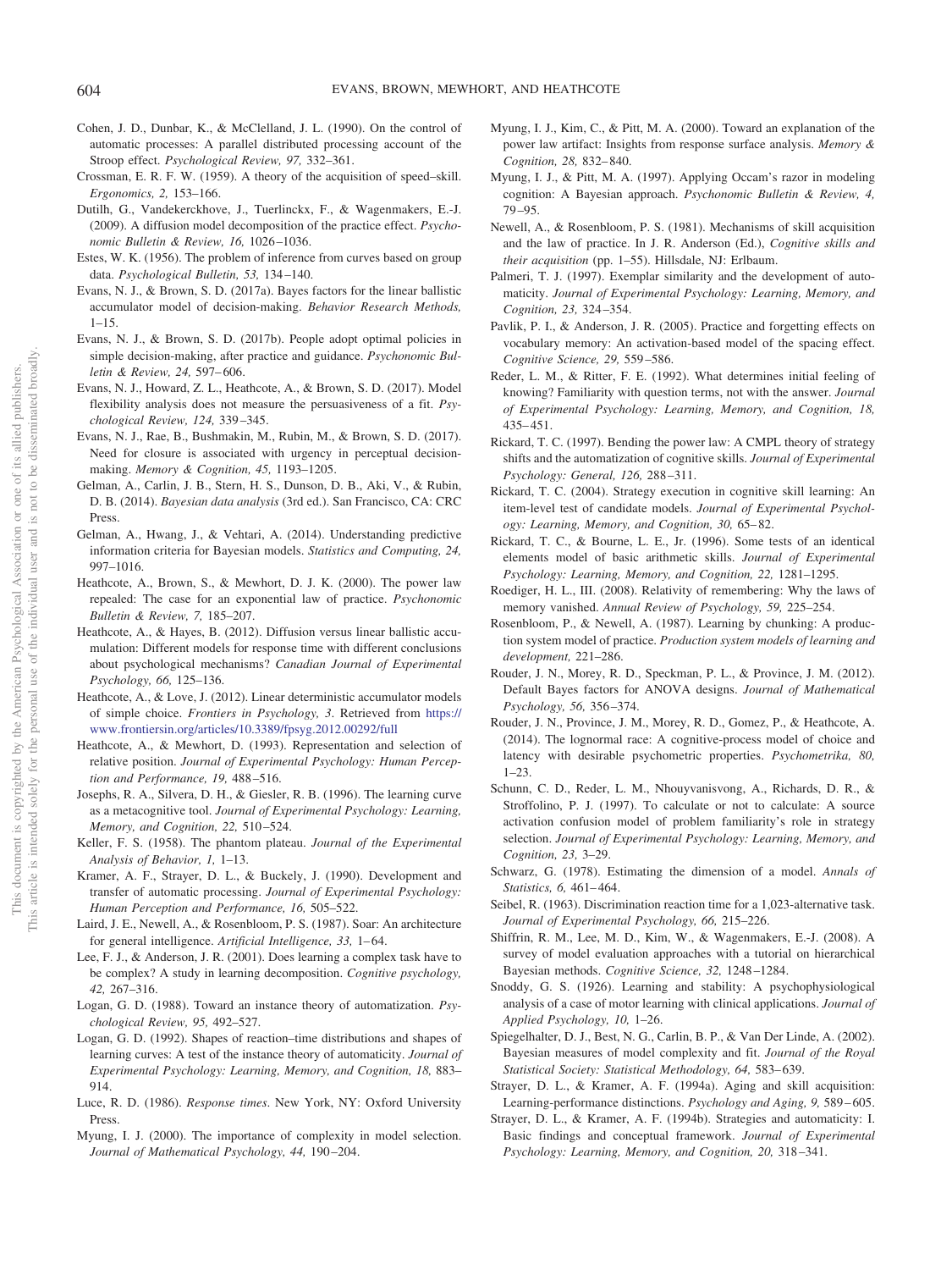- <span id="page-12-13"></span>Cohen, J. D., Dunbar, K., & McClelland, J. L. (1990). On the control of automatic processes: A parallel distributed processing account of the Stroop effect. *Psychological Review, 97,* 332–361.
- <span id="page-12-0"></span>Crossman, E. R. F. W. (1959). A theory of the acquisition of speed–skill. *Ergonomics, 2,* 153–166.
- <span id="page-12-41"></span>Dutilh, G., Vandekerckhove, J., Tuerlinckx, F., & Wagenmakers, E.-J. (2009). A diffusion model decomposition of the practice effect. *Psychonomic Bulletin & Review, 16,* 1026 –1036.
- <span id="page-12-15"></span>Estes, W. K. (1956). The problem of inference from curves based on group data. *Psychological Bulletin, 53,* 134 –140.
- <span id="page-12-27"></span>Evans, N. J., & Brown, S. D. (2017a). Bayes factors for the linear ballistic accumulator model of decision-making. *Behavior Research Methods,*  $1 - 15$ .
- <span id="page-12-24"></span>Evans, N. J., & Brown, S. D. (2017b). People adopt optimal policies in simple decision-making, after practice and guidance. *Psychonomic Bulletin & Review, 24,* 597– 606.
- <span id="page-12-28"></span>Evans, N. J., Howard, Z. L., Heathcote, A., & Brown, S. D. (2017). Model flexibility analysis does not measure the persuasiveness of a fit. *Psychological Review, 124,* 339 –345.
- <span id="page-12-25"></span>Evans, N. J., Rae, B., Bushmakin, M., Rubin, M., & Brown, S. D. (2017). Need for closure is associated with urgency in perceptual decisionmaking. *Memory & Cognition, 45,* 1193–1205.
- <span id="page-12-40"></span>Gelman, A., Carlin, J. B., Stern, H. S., Dunson, D. B., Aki, V., & Rubin, D. B. (2014). *Bayesian data analysis* (3rd ed.). San Francisco, CA: CRC Press.
- <span id="page-12-31"></span>Gelman, A., Hwang, J., & Vehtari, A. (2014). Understanding predictive information criteria for Bayesian models. *Statistics and Computing, 24,* 997–1016.
- <span id="page-12-1"></span>Heathcote, A., Brown, S., & Mewhort, D. J. K. (2000). The power law repealed: The case for an exponential law of practice. *Psychonomic Bulletin & Review, 7,* 185–207.
- <span id="page-12-42"></span>Heathcote, A., & Hayes, B. (2012). Diffusion versus linear ballistic accumulation: Different models for response time with different conclusions about psychological mechanisms? *Canadian Journal of Experimental Psychology, 66,* 125–136.
- <span id="page-12-19"></span>Heathcote, A., & Love, J. (2012). Linear deterministic accumulator models of simple choice. *Frontiers in Psychology, 3*. Retrieved from [https://](https://www.frontiersin.org/articles/10.3389/fpsyg.2012.00292/full) [www.frontiersin.org/articles/10.3389/fpsyg.2012.00292/full](https://www.frontiersin.org/articles/10.3389/fpsyg.2012.00292/full)
- <span id="page-12-39"></span>Heathcote, A., & Mewhort, D. (1993). Representation and selection of relative position. *Journal of Experimental Psychology: Human Perception and Performance, 19,* 488 –516.
- <span id="page-12-2"></span>Josephs, R. A., Silvera, D. H., & Giesler, R. B. (1996). The learning curve as a metacognitive tool. *Journal of Experimental Psychology: Learning, Memory, and Cognition, 22,* 510 –524.
- <span id="page-12-20"></span>Keller, F. S. (1958). The phantom plateau. *Journal of the Experimental Analysis of Behavior, 1,* 1–13.
- <span id="page-12-12"></span>Kramer, A. F., Strayer, D. L., & Buckely, J. (1990). Development and transfer of automatic processing. *Journal of Experimental Psychology: Human Perception and Performance, 16,* 505–522.
- <span id="page-12-14"></span>Laird, J. E., Newell, A., & Rosenbloom, P. S. (1987). Soar: An architecture for general intelligence. Artificial Intelligence, 33, 1-64.
- <span id="page-12-9"></span>Lee, F. J., & Anderson, J. R. (2001). Does learning a complex task have to be complex? A study in learning decomposition. *Cognitive psychology, 42,* 267–316.
- <span id="page-12-10"></span>Logan, G. D. (1988). Toward an instance theory of automatization. *Psychological Review, 95,* 492–527.
- <span id="page-12-11"></span>Logan, G. D. (1992). Shapes of reaction–time distributions and shapes of learning curves: A test of the instance theory of automaticity. *Journal of Experimental Psychology: Learning, Memory, and Cognition, 18,* 883– 914.
- <span id="page-12-21"></span>Luce, R. D. (1986). *Response times*. New York, NY: Oxford University Press.
- <span id="page-12-29"></span>Myung, I. J. (2000). The importance of complexity in model selection. *Journal of Mathematical Psychology, 44,* 190 –204.
- <span id="page-12-16"></span>Myung, I. J., Kim, C., & Pitt, M. A. (2000). Toward an explanation of the power law artifact: Insights from response surface analysis. *Memory & Cognition, 28,* 832– 840.
- <span id="page-12-30"></span>Myung, I. J., & Pitt, M. A. (1997). Applying Occam's razor in modeling cognition: A Bayesian approach. *Psychonomic Bulletin & Review, 4,* 79 –95.
- <span id="page-12-3"></span>Newell, A., & Rosenbloom, P. S. (1981). Mechanisms of skill acquisition and the law of practice. In J. R. Anderson (Ed.), *Cognitive skills and their acquisition* (pp. 1–55). Hillsdale, NJ: Erlbaum.
- <span id="page-12-35"></span>Palmeri, T. J. (1997). Exemplar similarity and the development of automaticity. *Journal of Experimental Psychology: Learning, Memory, and Cognition, 23,* 324 –354.
- <span id="page-12-7"></span>Pavlik, P. I., & Anderson, J. R. (2005). Practice and forgetting effects on vocabulary memory: An activation-based model of the spacing effect. *Cognitive Science, 29,* 559 –586.
- <span id="page-12-37"></span>Reder, L. M., & Ritter, F. E. (1992). What determines initial feeling of knowing? Familiarity with question terms, not with the answer. *Journal of Experimental Psychology: Learning, Memory, and Cognition, 18,* 435– 451.
- <span id="page-12-17"></span>Rickard, T. C. (1997). Bending the power law: A CMPL theory of strategy shifts and the automatization of cognitive skills. *Journal of Experimental Psychology: General, 126,* 288 –311.
- <span id="page-12-18"></span>Rickard, T. C. (2004). Strategy execution in cognitive skill learning: An item-level test of candidate models. *Journal of Experimental Psychology: Learning, Memory, and Cognition, 30,* 65– 82.
- <span id="page-12-36"></span>Rickard, T. C., & Bourne, L. E., Jr. (1996). Some tests of an identical elements model of basic arithmetic skills. *Journal of Experimental Psychology: Learning, Memory, and Cognition, 22,* 1281–1295.
- <span id="page-12-8"></span>Roediger, H. L., III. (2008). Relativity of remembering: Why the laws of memory vanished. *Annual Review of Psychology, 59,* 225–254.
- <span id="page-12-4"></span>Rosenbloom, P., & Newell, A. (1987). Learning by chunking: A production system model of practice. *Production system models of learning and development,* 221–286.
- <span id="page-12-43"></span>Rouder, J. N., Morey, R. D., Speckman, P. L., & Province, J. M. (2012). Default Bayes factors for ANOVA designs. *Journal of Mathematical Psychology, 56,* 356 –374.
- <span id="page-12-22"></span>Rouder, J. N., Province, J. M., Morey, R. D., Gomez, P., & Heathcote, A. (2014). The lognormal race: A cognitive-process model of choice and latency with desirable psychometric properties. *Psychometrika, 80,* 1–23.
- <span id="page-12-38"></span>Schunn, C. D., Reder, L. M., Nhouyvanisvong, A., Richards, D. R., & Stroffolino, P. J. (1997). To calculate or not to calculate: A source activation confusion model of problem familiarity's role in strategy selection. *Journal of Experimental Psychology: Learning, Memory, and Cognition, 23,* 3–29.
- <span id="page-12-26"></span>Schwarz, G. (1978). Estimating the dimension of a model. *Annals of Statistics, 6,* 461– 464.
- <span id="page-12-5"></span>Seibel, R. (1963). Discrimination reaction time for a 1,023-alternative task. *Journal of Experimental Psychology, 66,* 215–226.
- <span id="page-12-23"></span>Shiffrin, R. M., Lee, M. D., Kim, W., & Wagenmakers, E.-J. (2008). A survey of model evaluation approaches with a tutorial on hierarchical Bayesian methods. *Cognitive Science, 32,* 1248 –1284.
- <span id="page-12-6"></span>Snoddy, G. S. (1926). Learning and stability: A psychophysiological analysis of a case of motor learning with clinical applications. *Journal of Applied Psychology, 10,* 1–26.
- <span id="page-12-32"></span>Spiegelhalter, D. J., Best, N. G., Carlin, B. P., & Van Der Linde, A. (2002). Bayesian measures of model complexity and fit. *Journal of the Royal Statistical Society: Statistical Methodology, 64,* 583– 639.
- <span id="page-12-34"></span>Strayer, D. L., & Kramer, A. F. (1994a). Aging and skill acquisition: Learning-performance distinctions. *Psychology and Aging, 9,* 589 – 605.
- <span id="page-12-33"></span>Strayer, D. L., & Kramer, A. F. (1994b). Strategies and automaticity: I. Basic findings and conceptual framework. *Journal of Experimental Psychology: Learning, Memory, and Cognition, 20,* 318 –341.